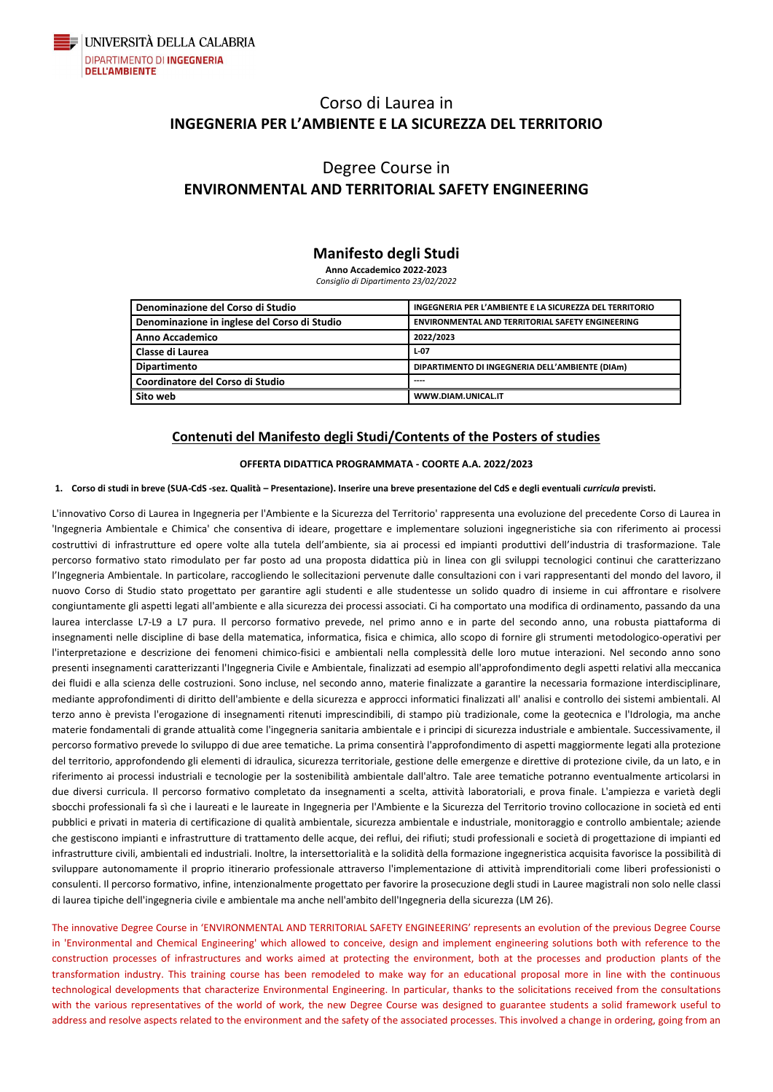

## Corso di Laurea in **INGEGNERIA PER L'AMBIENTE E LA SICUREZZA DEL TERRITORIO**

## Degree Course in **ENVIRONMENTAL AND TERRITORIAL SAFETY ENGINEERING**

### **Manifesto degli Studi**

**Anno Accademico 2022-2023** *Consiglio di Dipartimento 23/02/2022*

**Denominazione del Corso di Studio INGEGNERIA PER L'AMBIENTE E LA SICUREZZA DEL TERRITORIO Denominazione in inglese del Corso di Studio** | ENVIRONMENTAL AND TERRITORIAL SAFETY ENGINEERING **Anno Accademico 2022/2023 Classe di Laurea L-07 Dipartimento DIPARTIMENTO DI INGEGNERIA DELL'AMBIENTE (DIAm)**  $C$ oordinatore del Corso di Studio **Sito web WWW.DIAM.UNICAL.IT**

### **Contenuti del Manifesto degli Studi/Contents of the Posters of studies**

#### **OFFERTA DIDATTICA PROGRAMMATA - COORTE A.A. 2022/2023**

#### **1. Corso di studi in breve (SUA-CdS -sez. Qualità – Presentazione). Inserire una breve presentazione del CdS e degli eventuali** *curricula* **previsti.**

L'innovativo Corso di Laurea in Ingegneria per l'Ambiente e la Sicurezza del Territorio' rappresenta una evoluzione del precedente Corso di Laurea in 'Ingegneria Ambientale e Chimica' che consentiva di ideare, progettare e implementare soluzioni ingegneristiche sia con riferimento ai processi costruttivi di infrastrutture ed opere volte alla tutela dell'ambiente, sia ai processi ed impianti produttivi dell'industria di trasformazione. Tale percorso formativo stato rimodulato per far posto ad una proposta didattica più in linea con gli sviluppi tecnologici continui che caratterizzano l'Ingegneria Ambientale. In particolare, raccogliendo le sollecitazioni pervenute dalle consultazioni con i vari rappresentanti del mondo del lavoro, il nuovo Corso di Studio stato progettato per garantire agli studenti e alle studentesse un solido quadro di insieme in cui affrontare e risolvere congiuntamente gli aspetti legati all'ambiente e alla sicurezza dei processi associati. Ci ha comportato una modifica di ordinamento, passando da una laurea interclasse L7-L9 a L7 pura. Il percorso formativo prevede, nel primo anno e in parte del secondo anno, una robusta piattaforma di insegnamenti nelle discipline di base della matematica, informatica, fisica e chimica, allo scopo di fornire gli strumenti metodologico-operativi per l'interpretazione e descrizione dei fenomeni chimico-fisici e ambientali nella complessità delle loro mutue interazioni. Nel secondo anno sono presenti insegnamenti caratterizzanti l'Ingegneria Civile e Ambientale, finalizzati ad esempio all'approfondimento degli aspetti relativi alla meccanica dei fluidi e alla scienza delle costruzioni. Sono incluse, nel secondo anno, materie finalizzate a garantire la necessaria formazione interdisciplinare, mediante approfondimenti di diritto dell'ambiente e della sicurezza e approcci informatici finalizzati all' analisi e controllo dei sistemi ambientali. Al terzo anno è prevista l'erogazione di insegnamenti ritenuti imprescindibili, di stampo più tradizionale, come la geotecnica e l'Idrologia, ma anche materie fondamentali di grande attualità come l'ingegneria sanitaria ambientale e i principi di sicurezza industriale e ambientale. Successivamente, il percorso formativo prevede lo sviluppo di due aree tematiche. La prima consentirà l'approfondimento di aspetti maggiormente legati alla protezione del territorio, approfondendo gli elementi di idraulica, sicurezza territoriale, gestione delle emergenze e direttive di protezione civile, da un lato, e in riferimento ai processi industriali e tecnologie per la sostenibilità ambientale dall'altro. Tale aree tematiche potranno eventualmente articolarsi in due diversi curricula. Il percorso formativo completato da insegnamenti a scelta, attività laboratoriali, e prova finale. L'ampiezza e varietà degli sbocchi professionali fa sì che i laureati e le laureate in Ingegneria per l'Ambiente e la Sicurezza del Territorio trovino collocazione in società ed enti pubblici e privati in materia di certificazione di qualità ambientale, sicurezza ambientale e industriale, monitoraggio e controllo ambientale; aziende che gestiscono impianti e infrastrutture di trattamento delle acque, dei reflui, dei rifiuti; studi professionali e società di progettazione di impianti ed infrastrutture civili, ambientali ed industriali. Inoltre, la intersettorialità e la solidità della formazione ingegneristica acquisita favorisce la possibilità di sviluppare autonomamente il proprio itinerario professionale attraverso l'implementazione di attività imprenditoriali come liberi professionisti o consulenti. Il percorso formativo, infine, intenzionalmente progettato per favorire la prosecuzione degli studi in Lauree magistrali non solo nelle classi di laurea tipiche dell'ingegneria civile e ambientale ma anche nell'ambito dell'Ingegneria della sicurezza (LM 26).

The innovative Degree Course in 'ENVIRONMENTAL AND TERRITORIAL SAFETY ENGINEERING' represents an evolution of the previous Degree Course in 'Environmental and Chemical Engineering' which allowed to conceive, design and implement engineering solutions both with reference to the construction processes of infrastructures and works aimed at protecting the environment, both at the processes and production plants of the transformation industry. This training course has been remodeled to make way for an educational proposal more in line with the continuous technological developments that characterize Environmental Engineering. In particular, thanks to the solicitations received from the consultations with the various representatives of the world of work, the new Degree Course was designed to guarantee students a solid framework useful to address and resolve aspects related to the environment and the safety of the associated processes. This involved a change in ordering, going from an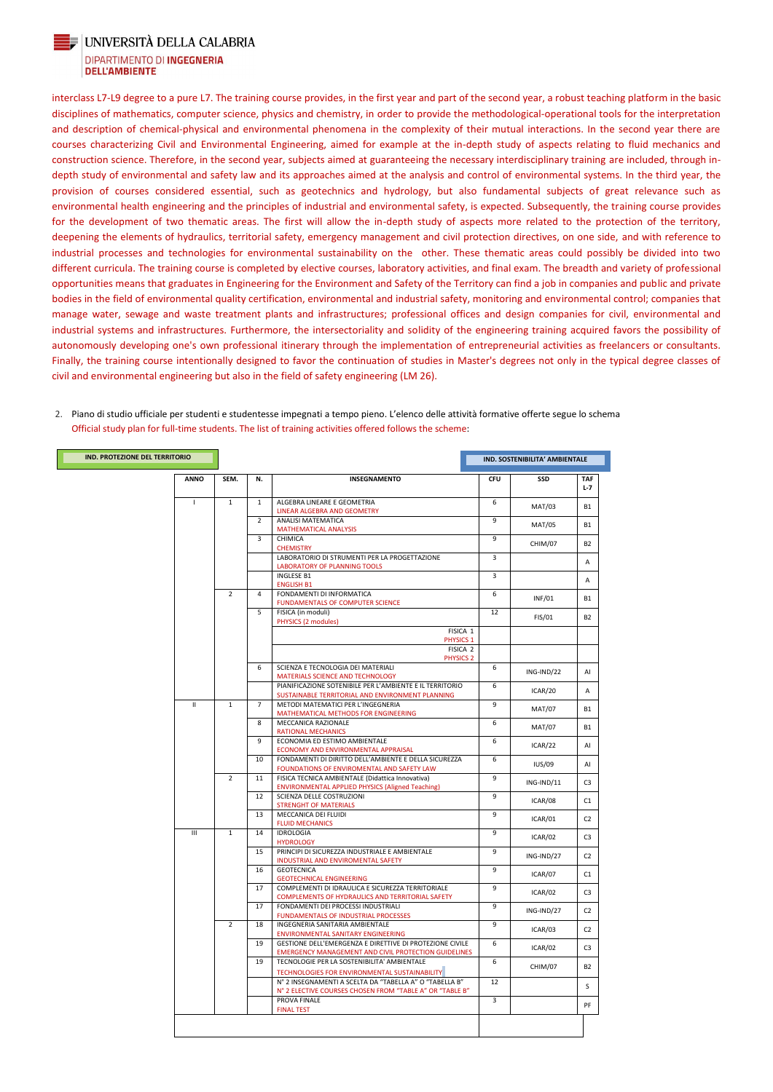

#### UNIVERSITÀ DELLA CALABRIA DIPARTIMENTO DI INGEGNERIA **DELL'AMBIENTE**

interclass L7-L9 degree to a pure L7. The training course provides, in the first year and part of the second year, a robust teaching platform in the basic disciplines of mathematics, computer science, physics and chemistry, in order to provide the methodological-operational tools for the interpretation and description of chemical-physical and environmental phenomena in the complexity of their mutual interactions. In the second year there are courses characterizing Civil and Environmental Engineering, aimed for example at the in-depth study of aspects relating to fluid mechanics and construction science. Therefore, in the second year, subjects aimed at guaranteeing the necessary interdisciplinary training are included, through indepth study of environmental and safety law and its approaches aimed at the analysis and control of environmental systems. In the third year, the provision of courses considered essential, such as geotechnics and hydrology, but also fundamental subjects of great relevance such as environmental health engineering and the principles of industrial and environmental safety, is expected. Subsequently, the training course provides for the development of two thematic areas. The first will allow the in-depth study of aspects more related to the protection of the territory, deepening the elements of hydraulics, territorial safety, emergency management and civil protection directives, on one side, and with reference to industrial processes and technologies for environmental sustainability on the other. These thematic areas could possibly be divided into two different curricula. The training course is completed by elective courses, laboratory activities, and final exam. The breadth and variety of professional opportunities means that graduates in Engineering for the Environment and Safety of the Territory can find a job in companies and public and private bodies in the field of environmental quality certification, environmental and industrial safety, monitoring and environmental control; companies that manage water, sewage and waste treatment plants and infrastructures; professional offices and design companies for civil, environmental and industrial systems and infrastructures. Furthermore, the intersectoriality and solidity of the engineering training acquired favors the possibility of autonomously developing one's own professional itinerary through the implementation of entrepreneurial activities as freelancers or consultants. Finally, the training course intentionally designed to favor the continuation of studies in Master's degrees not only in the typical degree classes of civil and environmental engineering but also in the field of safety engineering (LM 26).

- **ANNO SEM. N. INSEGNAMENTO CFU SSD TAF L-7** I 1 1 ALGEBRA LINEARE E GEOMETRIA LINEAR ALGEBRA AND GEOMETRY 6 MAT/03 B1 2 ANALISI MATEMATICA **MATHEMATICAL ANALYSIS** 9 MAT/05 B1 3 CHIMICA CHEMISTRY 9 CHIM/07 | B2 LABORATORIO DI STRUMENTI PER LA PROGETTAZIONE LABORATORY OF PLANNING TOOLS 3 A INGLESE B1 ENGLISH B1 3 A 2 4 FONDAMENTI DI INFORMATICA FUNDAMENTALS OF COMPUTER SCIENCE 6 INF/01 B1 5 FISICA (in moduli) PHYSICS (2 module 12 FIS/01 B2 FISICA 1 PHYSICS 1 FISICA 2 PHYSICS 2 6 SCIENZA E TECNOLOGIA DEI MATERIALI MATERIALS SCIENCE AND TECHNOLOG 6 ING-IND/22 AI PIANIFICAZIONE SOTENIBILE PER L'AMBIENTE E IL TERRITORIO SUSTAINABLE TERRITORIAL AND ENVIRONMENT PLANNING 6 ICAR/20 A II | 1 7 METODI MATEMATICI PER L'INGEGNERIA MATHEMATICAL METHODS FOR ENGINEERING 9 MAT/07 B1 8 MECCANICA RAZIONALE RATIONAL MECHANICS 6 MAT/07 B1 9 ECONOMIA ED ESTIMO AMBIENTALE ECONOMY AND ENVIRONMENTAL APPRAISA 6 ICAR/22 AI 10 FONDAMENTI DI DIRITTO DELL'AMBIENTE E DELLA SICUREZZA FOUNDATIONS OF ENVIROMENTAL AND SAFETY LAW 6 IUS/09 AI 2 | 11 | FISICA TECNICA AMBIENTALE (Didattica Innovativa) ENVIRONMENTAL APPLIED PHYSICS (Aligned Teaching) 9  $ING-IND/11$   $\qquad$  C3 12 | SCIENZA DELLE COSTRUZIONI STRENGHT OF MATERIALS 9 ICAR/08 C1 13 MECCANICA DEI FLUIDI 9 ICAR/01 C2 **IND. PROTEZIONE DEL TERRITORIO IND. PROTEZIONE DEL TERRITORIO**
- 2. Piano di studio ufficiale per studenti e studentesse impegnati a tempo pieno. L'elenco delle attività formative offerte segue lo schema Official study plan for full-time students. The list of training activities offered follows the scheme:

|                |               |    | <b>FLUID MECHANICS</b>                                          |    | ∸ש שיי     |                |
|----------------|---------------|----|-----------------------------------------------------------------|----|------------|----------------|
| $\mathbf{III}$ | $\mathbf{1}$  | 14 | <b>IDROLOGIA</b>                                                | 9  | ICAR/02    | C <sub>3</sub> |
|                |               |    | <b>HYDROLOGY</b>                                                |    |            |                |
|                |               | 15 | PRINCIPI DI SICUREZZA INDUSTRIALE E AMBIENTALE                  | 9  | ING-IND/27 | C <sub>2</sub> |
|                |               |    | INDUSTRIAL AND ENVIROMENTAL SAFETY                              |    |            |                |
|                |               | 16 | <b>GEOTECNICA</b>                                               | 9  | ICAR/07    | C1             |
|                |               |    | <b>GEOTECHNICAL ENGINEERING</b>                                 |    |            |                |
|                |               | 17 | COMPLEMENTI DI IDRAULICA E SICUREZZA TERRITORIALE               | 9  | ICAR/02    | C <sub>3</sub> |
|                |               |    | COMPLEMENTS OF HYDRAULICS AND TERRITORIAL SAFETY                |    |            |                |
|                |               | 17 | FONDAMENTI DEI PROCESSI INDUSTRIALI                             | 9  | ING-IND/27 | C <sub>2</sub> |
|                |               |    | <b>FUNDAMENTALS OF INDUSTRIAL PROCESSES</b>                     |    |            |                |
|                | $\mathcal{P}$ | 18 | INGEGNERIA SANITARIA AMBIENTALE                                 | 9  |            | C <sub>2</sub> |
|                |               |    | ENVIRONMENTAL SANITARY ENGINEERING                              |    | ICAR/03    |                |
|                |               | 19 | <b>GESTIONE DELL'EMERGENZA E DIRETTIVE DI PROTEZIONE CIVILE</b> | 6  |            | C <sub>3</sub> |
|                |               |    | <b>EMERGENCY MANAGEMENT AND CIVIL PROTECTION GUIDELINES</b>     |    | ICAR/02    |                |
|                |               | 19 | TECNOLOGIE PER LA SOSTENIBILITA' AMBIENTALE                     | 6  |            |                |
|                |               |    | TECHNOLOGIES FOR ENVIRONMENTAL SUSTAINABILITY                   |    | CHIM/07    | <b>B2</b>      |
|                |               |    | N° 2 INSEGNAMENTI A SCELTA DA "TABELLA A" O "TABELLA B"         | 12 |            |                |
|                |               |    | N° 2 ELECTIVE COURSES CHOSEN FROM "TABLE A" OR "TABLE B"        |    |            | S              |
|                |               |    | <b>PROVA FINALE</b>                                             | 3  |            | PF             |
|                |               |    | <b>FINAL TEST</b>                                               |    |            |                |
|                |               |    |                                                                 |    |            |                |
|                |               |    |                                                                 |    |            |                |
|                |               |    |                                                                 |    |            |                |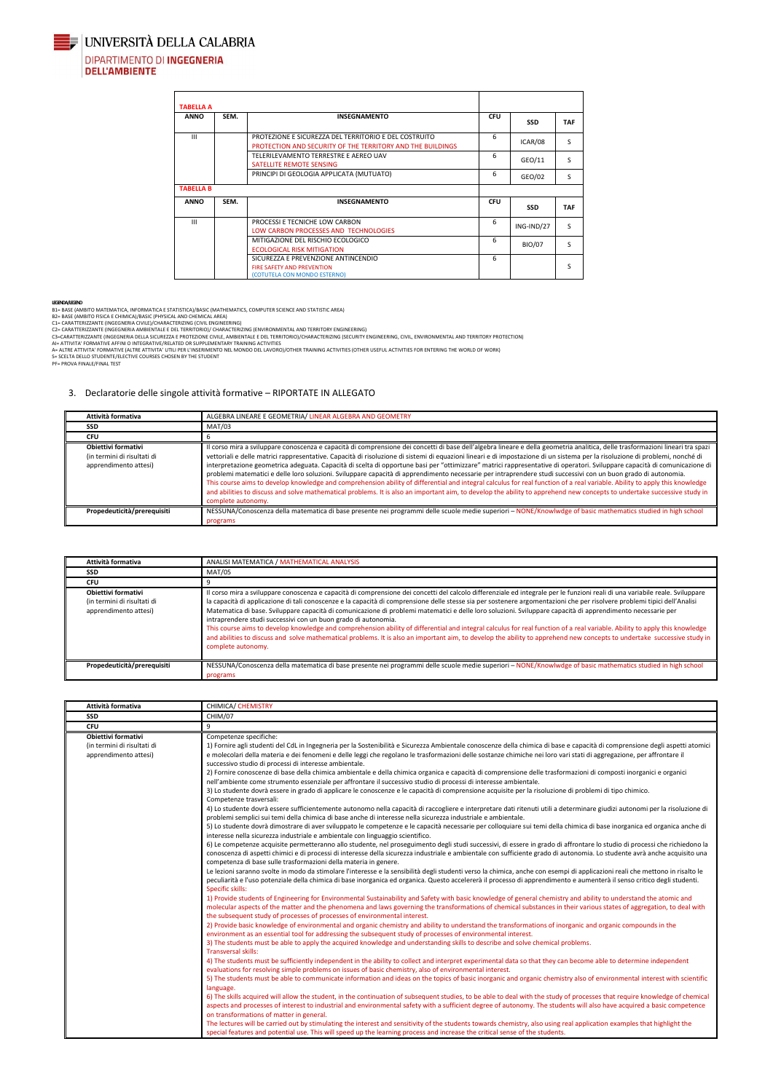

**JUNIVERSITÀ DELLA CALABRIA DIPARTIMENTO DI INGEGNERIA** 

**DELL'AMBIENTE** 

| <b>TABELLA A</b> |      |                                                                                                                     |            |               |            |
|------------------|------|---------------------------------------------------------------------------------------------------------------------|------------|---------------|------------|
| <b>ANNO</b>      | SEM. | <b>INSEGNAMENTO</b>                                                                                                 | <b>CFU</b> | <b>SSD</b>    | <b>TAF</b> |
| III              |      | PROTEZIONE E SICUREZZA DEL TERRITORIO E DEL COSTRUITO<br>PROTECTION AND SECURITY OF THE TERRITORY AND THE BUILDINGS | 6          | ICAR/08       | S          |
|                  |      | TELERILEVAMENTO TERRESTRE E AEREO UAV<br>SATELLITE REMOTE SENSING                                                   | 6          | GEO/11        | S.         |
|                  |      | PRINCIPI DI GEOLOGIA APPLICATA (MUTUATO)                                                                            | 6          | GEO/02        | S          |
| <b>TABELLA B</b> |      |                                                                                                                     |            |               |            |
| <b>ANNO</b>      | SEM. | <b>INSEGNAMENTO</b>                                                                                                 | <b>CFU</b> | <b>SSD</b>    | <b>TAF</b> |
| III              |      | PROCESSI E TECNICHE LOW CARBON<br>LOW CARBON PROCESSES AND TECHNOLOGIES                                             | 6          | ING-IND/27    | S          |
|                  |      | MITIGAZIONE DEL RISCHIO ECOLOGICO<br><b>ECOLOGICAL RISK MITIGATION</b>                                              | 6          | <b>BIO/07</b> | S.         |
|                  |      | SICUREZZA E PREVENZIONE ANTINCENDIO<br><b>FIRE SAFETY AND PREVENTION</b><br>(COTUTELA CON MONDO ESTERNO)            | 6          |               | S          |

#### **LEGENDA /LEGEND**

B1= BASE (AMBITO MATEMATICA, INFORMATICA E STATISTICA)/BASIC (MATHEMATICS, COMPUTER SCIENCE AND STATISTIC AREA)

B2= BASE (AMBITO FISICA E CHIMICA)/BASIC (PHYSICAL AND CHEMICAL AREA)

C1= CARATTERIZZANTE (INGEGNERIA CIVILE)/CHARACTERIZING (CIVIL ENGINEERING)

C2= CARATTERIZZANTE (INGEGNERIA AMBIENTALE E DEL TERRITORIO)/ CHARACTERIZING (ENVIRONMENTAL AND TERRITORY ENGINEERING) C3=CARATTERIZZANTE (INGEGNERIA DELLA SICUREZZA E PROTEZIONE CIVILE, AMBIENTALE E DEL TERRITORIO)/CHARACTERIZING (SECURITY ENGINEERING, CIVIL, ENVIRONMENTAL AND TERRITORY PROTECTION)

AI= ATTIVITA' FORMATIVE AFFINI O INTEGRATIVE/RELATED OR SUPPLEMENTARY TRAINING ACTIVITIES<br>A= ALTRE ATTIVITA' FORMATIVE (ALTRE ATTIVITA' UTILI PER L'INSERIMENTO NEL MONDO DEL LAVORO)/OTHER TRAINING ACTIVITIES (OTHER USEFUL

S= SCELTA DELLO STUDENTE/ELECTIVE COURSES CHOSEN BY THE STUDENT PF= PROVA FINALE/FINAL TEST

#### 3. Declaratorie delle singole attività formative – RIPORTATE IN ALLEGATO

| Attività formativa                                                                 | ALGEBRA LINEARE E GEOMETRIA/ LINEAR ALGEBRA AND GEOMETRY                                                                                                                                                                                                                                                                                                                                                                                                                                                                                                                                                                                                                                                                                                                                                                                                                                                                                                                                                                                                                                        |
|------------------------------------------------------------------------------------|-------------------------------------------------------------------------------------------------------------------------------------------------------------------------------------------------------------------------------------------------------------------------------------------------------------------------------------------------------------------------------------------------------------------------------------------------------------------------------------------------------------------------------------------------------------------------------------------------------------------------------------------------------------------------------------------------------------------------------------------------------------------------------------------------------------------------------------------------------------------------------------------------------------------------------------------------------------------------------------------------------------------------------------------------------------------------------------------------|
| <b>SSD</b>                                                                         | MAT/03                                                                                                                                                                                                                                                                                                                                                                                                                                                                                                                                                                                                                                                                                                                                                                                                                                                                                                                                                                                                                                                                                          |
| <b>CFU</b>                                                                         |                                                                                                                                                                                                                                                                                                                                                                                                                                                                                                                                                                                                                                                                                                                                                                                                                                                                                                                                                                                                                                                                                                 |
| <b>Obiettivi formativi</b><br>(in termini di risultati di<br>apprendimento attesi) | Il corso mira a sviluppare conoscenza e capacità di comprensione dei concetti di base dell'algebra lineare e della geometria analitica, delle trasformazioni lineari tra spazi<br>vettoriali e delle matrici rappresentative. Capacità di risoluzione di sistemi di equazioni lineari e di impostazione di un sistema per la risoluzione di problemi, nonché di<br>interpretazione geometrica adeguata. Capacità di scelta di opportune basi per "ottimizzare" matrici rappresentative di operatori. Sviluppare capacità di comunicazione di<br>problemi matematici e delle loro soluzioni. Sviluppare capacità di apprendimento necessarie per intraprendere studi successivi con un buon grado di autonomia.<br>This course aims to develop knowledge and comprehension ability of differential and integral calculus for real function of a real variable. Ability to apply this knowledge<br>and abilities to discuss and solve mathematical problems. It is also an important aim, to develop the ability to apprehend new concepts to undertake successive study in<br>complete autonomy. |
| Propedeuticità/prerequisiti                                                        | NESSUNA/Conoscenza della matematica di base presente nei programmi delle scuole medie superiori - NONE/Knowlwdge of basic mathematics studied in high school<br>programs                                                                                                                                                                                                                                                                                                                                                                                                                                                                                                                                                                                                                                                                                                                                                                                                                                                                                                                        |

Le lezioni saranno svolte in modo da stimolare l'interesse e la sensibilità degli studenti verso la chimica, anche con esempi di applicazioni reali che mettono in risalto le peculiarità e l'uso potenziale della chimica di base inorganica ed organica. Questo accelererà il processo di apprendimento e aumenterà il senso critico degli studenti. Specific skills:

| Attività formativa                                                                 | ANALISI MATEMATICA / MATHEMATICAL ANALYSIS                                                                                                                                                                                                                                                                                                                                                                                                                                                                                                                                                                                                                                                                                                                                                                                                                                                                                                                                   |
|------------------------------------------------------------------------------------|------------------------------------------------------------------------------------------------------------------------------------------------------------------------------------------------------------------------------------------------------------------------------------------------------------------------------------------------------------------------------------------------------------------------------------------------------------------------------------------------------------------------------------------------------------------------------------------------------------------------------------------------------------------------------------------------------------------------------------------------------------------------------------------------------------------------------------------------------------------------------------------------------------------------------------------------------------------------------|
| <b>SSD</b>                                                                         | MAT/05                                                                                                                                                                                                                                                                                                                                                                                                                                                                                                                                                                                                                                                                                                                                                                                                                                                                                                                                                                       |
| <b>CFU</b>                                                                         |                                                                                                                                                                                                                                                                                                                                                                                                                                                                                                                                                                                                                                                                                                                                                                                                                                                                                                                                                                              |
| <b>Obiettivi formativi</b><br>(in termini di risultati di<br>apprendimento attesi) | Il corso mira a sviluppare conoscenza e capacità di comprensione dei concetti del calcolo differenziale ed integrale per le funzioni reali di una variabile reale. Sviluppare<br>la capacità di applicazione di tali conoscenze e la capacità di comprensione delle stesse sia per sostenere argomentazioni che per risolvere problemi tipici dell'Analisi<br>Matematica di base. Sviluppare capacità di comunicazione di problemi matematici e delle loro soluzioni. Sviluppare capacità di apprendimento necessarie per<br>intraprendere studi successivi con un buon grado di autonomia.<br>This course aims to develop knowledge and comprehension ability of differential and integral calculus for real function of a real variable. Ability to apply this knowledge<br>and abilities to discuss and solve mathematical problems. It is also an important aim, to develop the ability to apprehend new concepts to undertake successive study in<br>complete autonomy. |
| Propedeuticità/prerequisiti                                                        | NESSUNA/Conoscenza della matematica di base presente nei programmi delle scuole medie superiori - NONE/Knowlwdge of basic mathematics studied in high school<br>programs                                                                                                                                                                                                                                                                                                                                                                                                                                                                                                                                                                                                                                                                                                                                                                                                     |

| Attività formativa                                                          | <b>CHIMICA/ CHEMISTRY</b>                                                                                                                                                                                                                                                                                                                                                                                                                                                                                                                                                                                                                                                                                                                                                                                                                                                                                                                                                                                                                                                                                                                                                                                                |
|-----------------------------------------------------------------------------|--------------------------------------------------------------------------------------------------------------------------------------------------------------------------------------------------------------------------------------------------------------------------------------------------------------------------------------------------------------------------------------------------------------------------------------------------------------------------------------------------------------------------------------------------------------------------------------------------------------------------------------------------------------------------------------------------------------------------------------------------------------------------------------------------------------------------------------------------------------------------------------------------------------------------------------------------------------------------------------------------------------------------------------------------------------------------------------------------------------------------------------------------------------------------------------------------------------------------|
| <b>SSD</b>                                                                  | CHIM/07                                                                                                                                                                                                                                                                                                                                                                                                                                                                                                                                                                                                                                                                                                                                                                                                                                                                                                                                                                                                                                                                                                                                                                                                                  |
| <b>CFU</b>                                                                  |                                                                                                                                                                                                                                                                                                                                                                                                                                                                                                                                                                                                                                                                                                                                                                                                                                                                                                                                                                                                                                                                                                                                                                                                                          |
| Obiettivi formativi<br>(in termini di risultati di<br>apprendimento attesi) | Competenze specifiche:<br>1) Fornire agli studenti del CdL in Ingegneria per la Sostenibilità e Sicurezza Ambientale conoscenze della chimica di base e capacità di comprensione degli aspetti atomici<br>e molecolari della materia e dei fenomeni e delle leggi che regolano le trasformazioni delle sostanze chimiche nei loro vari stati di aggregazione, per affrontare il<br>successivo studio di processi di interesse ambientale.<br>2) Fornire conoscenze di base della chimica ambientale e della chimica organica e capacità di comprensione delle trasformazioni di composti inorganici e organici<br>nell'ambiente come strumento essenziale per affrontare il successivo studio di processi di interesse ambientale.<br>3) Lo studente dovrà essere in grado di applicare le conoscenze e le capacità di comprensione acquisite per la risoluzione di problemi di tipo chimico.<br>Competenze trasversali:<br>4) Lo studente dovrà essere sufficientemente autonomo nella capacità di raccogliere e interpretare dati ritenuti utili a determinare giudizi autonomi per la risoluzione di<br>problemi semplici sui temi della chimica di base anche di interesse nella sicurezza industriale e ambientale. |

| [5] Lo studente dovrà dimostrare di aver sviluppato le competenze e le capacità necessarie per colloquiare sui temi della chimica di base inorganica ed organica anche di |
|---------------------------------------------------------------------------------------------------------------------------------------------------------------------------|
| interesse nella sicurezza industriale e ambientale con linguaggio scientifico.                                                                                            |

6) Le competenze acquisite permetteranno allo studente, nel proseguimento degli studi successivi, di essere in grado di affrontare lo studio di processi che richiedono la conoscenza di aspetti chimici e di processi di interesse della sicurezza industriale e ambientale con sufficiente grado di autonomia. Lo studente avrà anche acquisito una competenza di base sulle trasformazioni della materia in genere.

1) Provide students of Engineering for Environmental Sustainability and Safety with basic knowledge of general chemistry and ability to understand the atomic and molecular aspects of the matter and the phenomena and laws governing the transformations of chemical substances in their various states of aggregation, to deal with the subsequent study of processes of processes of environmental interest.

2) Provide basic knowledge of environmental and organic chemistry and ability to understand the transformations of inorganic and organic compounds in the environment as an essential tool for addressing the subsequent study of processes of environmental interest.

3) The students must be able to apply the acquired knowledge and understanding skills to describe and solve chemical problems.

#### Transversal skills:

4) The students must be sufficiently independent in the ability to collect and interpret experimental data so that they can become able to determine independent evaluations for resolving simple problems on issues of basic chemistry, also of environmental interest.

5) The students must be able to communicate information and ideas on the topics of basic inorganic and organic chemistry also of environmental interest with scientific language.

6) The skills acquired will allow the student, in the continuation of subsequent studies, to be able to deal with the study of processes that require knowledge of chemical aspects and processes of interest to industrial and environmental safety with a sufficient degree of autonomy. The students will also have acquired a basic competence on transformations of matter in general.

The lectures will be carried out by stimulating the interest and sensitivity of the students towards chemistry, also using real application examples that highlight the special features and potential use. This will speed up the learning process and increase the critical sense of the students.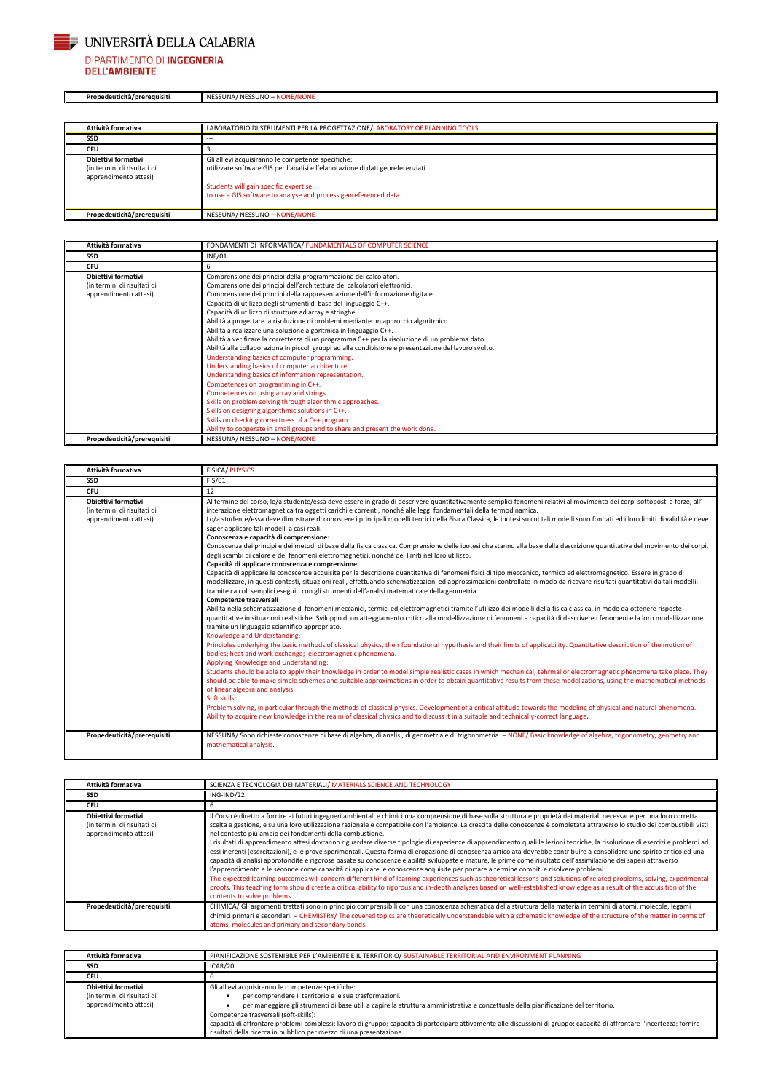

П

# UNIVERSITÀ DELLA CALABRIA DIPARTIMENTO DI INGEGNERIA<br>DELL'AMBIENTE

**Propedeuticità/prerequisiti** NESSUNA/ NESSUNO – NONE/NONE

| Attività formativa                                                                 | LABORATORIO DI STRUMENTI PER LA PROGETTAZIONE/LABORATORY OF PLANNING TOOLS                                                                                                                                                                         |
|------------------------------------------------------------------------------------|----------------------------------------------------------------------------------------------------------------------------------------------------------------------------------------------------------------------------------------------------|
| <b>SSD</b>                                                                         | ---                                                                                                                                                                                                                                                |
| <b>CFU</b>                                                                         |                                                                                                                                                                                                                                                    |
| <b>Obiettivi formativi</b><br>(in termini di risultati di<br>apprendimento attesi) | Gli allievi acquisiranno le competenze specifiche:<br>utilizzare software GIS per l'analisi e l'elaborazione di dati georeferenziati.<br>Students will gain specific expertise:<br>to use a GIS software to analyse and process georeferenced data |
| Propedeuticità/prerequisiti                                                        | NESSUNA/ NESSUNO - NONE/NONE                                                                                                                                                                                                                       |

| Attività formativa                                                                 | FONDAMENTI DI INFORMATICA/ FUNDAMENTALS OF COMPUTER SCIENCE                                                                                                                                                                                                                                                                                                                                                                                                                                                                                                                                                                                                                                                                                                                                                                                                                                                                                                                                                                                                                                                                                       |
|------------------------------------------------------------------------------------|---------------------------------------------------------------------------------------------------------------------------------------------------------------------------------------------------------------------------------------------------------------------------------------------------------------------------------------------------------------------------------------------------------------------------------------------------------------------------------------------------------------------------------------------------------------------------------------------------------------------------------------------------------------------------------------------------------------------------------------------------------------------------------------------------------------------------------------------------------------------------------------------------------------------------------------------------------------------------------------------------------------------------------------------------------------------------------------------------------------------------------------------------|
| <b>SSD</b>                                                                         | <b>INF/01</b>                                                                                                                                                                                                                                                                                                                                                                                                                                                                                                                                                                                                                                                                                                                                                                                                                                                                                                                                                                                                                                                                                                                                     |
| <b>CFU</b>                                                                         | h                                                                                                                                                                                                                                                                                                                                                                                                                                                                                                                                                                                                                                                                                                                                                                                                                                                                                                                                                                                                                                                                                                                                                 |
| <b>Obiettivi formativi</b><br>(in termini di risultati di<br>apprendimento attesi) | Comprensione dei principi della programmazione dei calcolatori.<br>Comprensione dei principi dell'architettura dei calcolatori elettronici.<br>Comprensione dei principi della rappresentazione dell'informazione digitale.<br>Capacità di utilizzo degli strumenti di base del linguaggio C++.<br>Capacità di utilizzo di strutture ad array e stringhe.<br>Abilità a progettare la risoluzione di problemi mediante un approccio algoritmico.<br>Abilità a realizzare una soluzione algoritmica in linguaggio C++.<br>Abilità a verificare la correttezza di un programma C++ per la risoluzione di un problema dato.<br>Abilità alla collaborazione in piccoli gruppi ed alla condivisione e presentazione del lavoro svolto.<br>Understanding basics of computer programming.<br>Understanding basics of computer architecture.<br>Understanding basics of information representation.<br>Competences on programming in C++.<br>Competences on using array and strings.<br>Skills on problem solving through algorithmic approaches.<br>Skills on designing algorithmic solutions in C++.<br>Skills on checking correctness of a C++ program. |
| Propedeuticità/prerequisiti                                                        | Ability to cooperate in small groups and to share and present the work done.<br>NESSUNA/ NESSUNO - NONE/NONE                                                                                                                                                                                                                                                                                                                                                                                                                                                                                                                                                                                                                                                                                                                                                                                                                                                                                                                                                                                                                                      |

| Attività formativa                                                                 | <b>FISICA/ PHYSICS</b>                                                                                                                                                                                                                                                                                                                                                                                                                                                                                                                                                                                                                                                                                                                                                                                                                                                                                                                                                                                                                                                                                                                                                                                                                                                                                                                                                                                                                                                                                                                                                                                                                                                                                                                                                                                                                                                                                                                                                                                                                                                                                                                                                                                                                                                                                                                                                                                                                                                                                                                                                                                                                                                                                                                                                                                                                       |
|------------------------------------------------------------------------------------|----------------------------------------------------------------------------------------------------------------------------------------------------------------------------------------------------------------------------------------------------------------------------------------------------------------------------------------------------------------------------------------------------------------------------------------------------------------------------------------------------------------------------------------------------------------------------------------------------------------------------------------------------------------------------------------------------------------------------------------------------------------------------------------------------------------------------------------------------------------------------------------------------------------------------------------------------------------------------------------------------------------------------------------------------------------------------------------------------------------------------------------------------------------------------------------------------------------------------------------------------------------------------------------------------------------------------------------------------------------------------------------------------------------------------------------------------------------------------------------------------------------------------------------------------------------------------------------------------------------------------------------------------------------------------------------------------------------------------------------------------------------------------------------------------------------------------------------------------------------------------------------------------------------------------------------------------------------------------------------------------------------------------------------------------------------------------------------------------------------------------------------------------------------------------------------------------------------------------------------------------------------------------------------------------------------------------------------------------------------------------------------------------------------------------------------------------------------------------------------------------------------------------------------------------------------------------------------------------------------------------------------------------------------------------------------------------------------------------------------------------------------------------------------------------------------------------------------------|
| <b>SSD</b>                                                                         | <b>FIS/01</b>                                                                                                                                                                                                                                                                                                                                                                                                                                                                                                                                                                                                                                                                                                                                                                                                                                                                                                                                                                                                                                                                                                                                                                                                                                                                                                                                                                                                                                                                                                                                                                                                                                                                                                                                                                                                                                                                                                                                                                                                                                                                                                                                                                                                                                                                                                                                                                                                                                                                                                                                                                                                                                                                                                                                                                                                                                |
| <b>CFU</b>                                                                         | 12                                                                                                                                                                                                                                                                                                                                                                                                                                                                                                                                                                                                                                                                                                                                                                                                                                                                                                                                                                                                                                                                                                                                                                                                                                                                                                                                                                                                                                                                                                                                                                                                                                                                                                                                                                                                                                                                                                                                                                                                                                                                                                                                                                                                                                                                                                                                                                                                                                                                                                                                                                                                                                                                                                                                                                                                                                           |
| <b>Obiettivi formativi</b><br>(in termini di risultati di<br>apprendimento attesi) | Al termine del corso, lo/a studente/essa deve essere in grado di descrivere quantitativamente semplici fenomeni relativi al movimento dei corpi sottoposti a forze, all'<br>interazione elettromagnetica tra oggetti carichi e correnti, nonché alle leggi fondamentali della termodinamica.<br>Lo/a studente/essa deve dimostrare di conoscere i principali modelli teorici della Fisica Classica, le ipotesi su cui tali modelli sono fondati ed i loro limiti di validità e deve<br>saper applicare tali modelli a casi reali.<br>Conoscenza e capacità di comprensione:<br>Conoscenza dei principi e dei metodi di base della fisica classica. Comprensione delle ipotesi che stanno alla base della descrizione quantitativa del movimento dei corpi,<br>degli scambi di calore e dei fenomeni elettromagnetici, nonché dei limiti nel loro utilizzo.<br>Capacità di applicare conoscenza e comprensione:<br>Capacità di applicare le conoscenze acquisite per la descrizione quantitativa di fenomeni fisici di tipo meccanico, termico ed elettromagnetico. Essere in grado di<br>modellizzare, in questi contesti, situazioni reali, effettuando schematizzazioni ed approssimazioni controllate in modo da ricavare risultati quantitativi da tali modelli,<br>tramite calcoli semplici eseguiti con gli strumenti dell'analisi matematica e della geometria.<br>Competenze trasversali<br>Abilità nella schematizzazione di fenomeni meccanici, termici ed elettromagnetici tramite l'utilizzo dei modelli della fisica classica, in modo da ottenere risposte<br>quantitative in situazioni realistiche. Sviluppo di un atteggiamento critico alla modellizzazione di fenomeni e capacità di descrivere i fenomeni e la loro modellizzazione<br>tramite un linguaggio scientifico appropriato.<br>Knowledge and Understanding:<br>Principles underlying the basic methods of classical physics, their foundational hypothesis and their limits of applicability. Quantitative description of the motion of<br>bodies; heat and work exchange; electromagnetic phenomena.<br>Applying Knowledge and Understanding:<br>Students should be able to apply their knowledge in order to model simple realistic cases in which mechanical, tehrmal or electromagnetic phenomena take place. They<br>should be able to make simple schemes and suitable approximations in order to obtain quantitative results from these modelizations, using the mathematical methods<br>of linear algebra and analysis.<br>Soft skills:<br>Problem solving, in particular through the methods of classical physics. Development of a critical attitude towards the modeling of physical and natural phenomena.<br>Ability to acquire new knowledge in the realm of classical physics and to discuss it in a suitable and technically-correct language. |
| Propedeuticità/prerequisiti                                                        | NESSUNA/ Sono richieste conoscenze di base di algebra, di analisi, di geometria e di trigonometria. - NONE/ Basic knowledge of algebra, trigonometry, geometry and<br>mathematical analysis.                                                                                                                                                                                                                                                                                                                                                                                                                                                                                                                                                                                                                                                                                                                                                                                                                                                                                                                                                                                                                                                                                                                                                                                                                                                                                                                                                                                                                                                                                                                                                                                                                                                                                                                                                                                                                                                                                                                                                                                                                                                                                                                                                                                                                                                                                                                                                                                                                                                                                                                                                                                                                                                 |

| Attività formativa                                                          | SCIENZA E TECNOLOGIA DEI MATERIALI/ MATERIALS SCIENCE AND TECHNOLOGY                                                                                                                                                                                                                                                                                                                                                                                                                                                                                                                                                                                                                                                                                                                                                                                                                                                                                                                                                                                                                                                                                                                                                                                                                                                                                                                                                                                                               |
|-----------------------------------------------------------------------------|------------------------------------------------------------------------------------------------------------------------------------------------------------------------------------------------------------------------------------------------------------------------------------------------------------------------------------------------------------------------------------------------------------------------------------------------------------------------------------------------------------------------------------------------------------------------------------------------------------------------------------------------------------------------------------------------------------------------------------------------------------------------------------------------------------------------------------------------------------------------------------------------------------------------------------------------------------------------------------------------------------------------------------------------------------------------------------------------------------------------------------------------------------------------------------------------------------------------------------------------------------------------------------------------------------------------------------------------------------------------------------------------------------------------------------------------------------------------------------|
| SSD                                                                         | ING-IND/22                                                                                                                                                                                                                                                                                                                                                                                                                                                                                                                                                                                                                                                                                                                                                                                                                                                                                                                                                                                                                                                                                                                                                                                                                                                                                                                                                                                                                                                                         |
| <b>CFU</b>                                                                  | b                                                                                                                                                                                                                                                                                                                                                                                                                                                                                                                                                                                                                                                                                                                                                                                                                                                                                                                                                                                                                                                                                                                                                                                                                                                                                                                                                                                                                                                                                  |
| Obiettivi formativi<br>(in termini di risultati di<br>apprendimento attesi) | Il Corso è diretto a fornire ai futuri ingegneri ambientali e chimici una comprensione di base sulla struttura e proprietà dei materiali necessarie per una loro corretta<br>scelta e gestione, e su una loro utilizzazione razionale e compatibile con l'ambiente. La crescita delle conoscenze è completata attraverso lo studio dei combustibili visti<br>nel contesto più ampio dei fondamenti della combustione.<br>I risultati di apprendimento attesi dovranno riguardare diverse tipologie di esperienze di apprendimento quali le lezioni teoriche, la risoluzione di esercizi e problemi ad<br>essi inerenti (esercitazioni), e le prove sperimentali. Questa forma di erogazione di conoscenza articolata dovrebbe contribuire a consolidare uno spirito critico ed una<br>capacità di analisi approfondite e rigorose basate su conoscenze e abilità sviluppate e mature, le prime come risultato dell'assimilazione dei saperi attraverso<br>l'apprendimento e le seconde come capacità di applicare le conoscenze acquisite per portare a termine compiti e risolvere problemi.<br>The expected learning outcomes will concern different kind of learning experiences such as theoretical lessons and solutions of related problems, solving, experimental<br>proofs. This teaching form should create a critical ability to rigorous and in-depth analyses based on well-established knowledge as a result of the acquisition of the<br>contents to solve problems. |
| Propedeuticità/prerequisiti                                                 | CHIMICA/ Gli argomenti trattati sono in principio comprensibili con una conoscenza schematica della struttura della materia in termini di atomi, molecole, legami<br>chimici primari e secondari. - CHEMISTRY/The covered topics are theoretically understandable with a schematic knowledge of the structure of the matter in terms of<br>atoms, molecules and primary and secondary bonds.                                                                                                                                                                                                                                                                                                                                                                                                                                                                                                                                                                                                                                                                                                                                                                                                                                                                                                                                                                                                                                                                                       |

| Attività formativa                                                          | PIANIFICAZIONE SOSTENIBILE PER L'AMBIENTE E IL TERRITORIO/ SUSTAINABLE TERRITORIAL AND ENVIRONMENT PLANNING                                                                                                                                                                                                                                                                                                                                                                                                                                       |
|-----------------------------------------------------------------------------|---------------------------------------------------------------------------------------------------------------------------------------------------------------------------------------------------------------------------------------------------------------------------------------------------------------------------------------------------------------------------------------------------------------------------------------------------------------------------------------------------------------------------------------------------|
| SSD                                                                         | ICAR/20                                                                                                                                                                                                                                                                                                                                                                                                                                                                                                                                           |
| <b>CFU</b>                                                                  |                                                                                                                                                                                                                                                                                                                                                                                                                                                                                                                                                   |
| Obiettivi formativi<br>(in termini di risultati di<br>apprendimento attesi) | Gli allievi acquisiranno le competenze specifiche:<br>per comprendere il territorio e le sue trasformazioni.<br>per maneggiare gli strumenti di base utili a capire la struttura amministrativa e concettuale della pianificazione del territorio.<br>Competenze trasversali (soft-skills):<br>capacità di affrontare problemi complessi; lavoro di gruppo; capacità di partecipare attivamente alle discussioni di gruppo; capacità di affrontare l'incertezza; fornire i<br>risultati della ricerca in pubblico per mezzo di una presentazione. |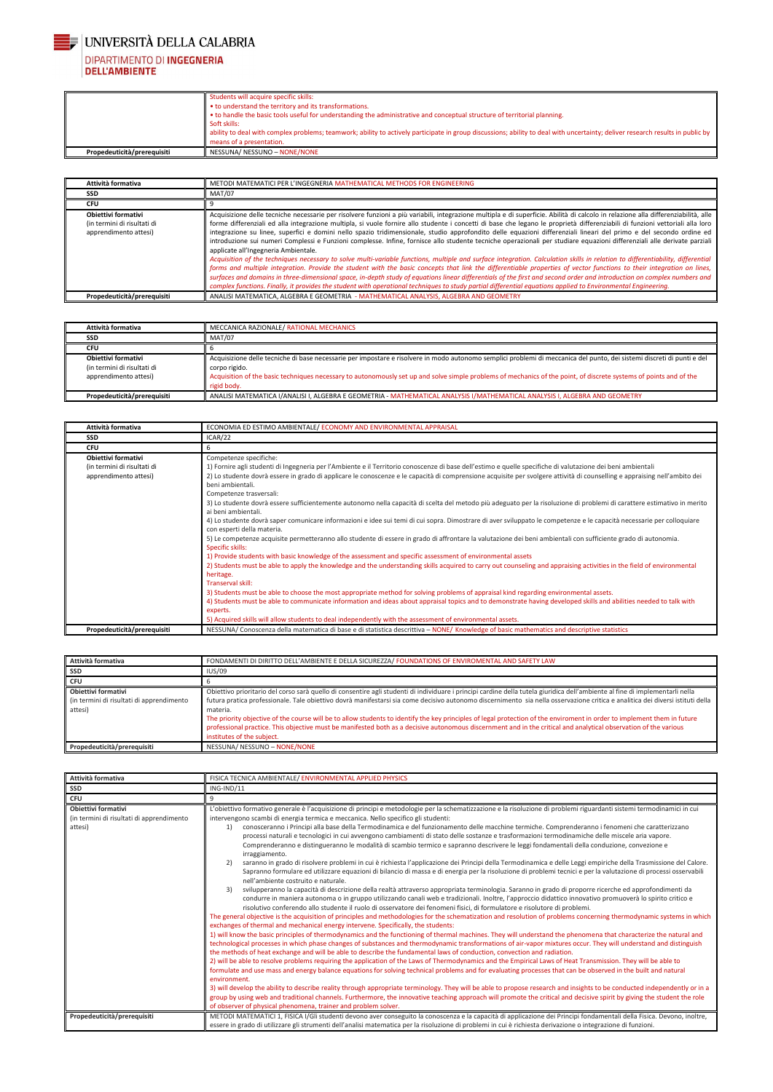

# DIPARTIMENTO DI INGEGNERIA<br>DELL'AMBIENTE

|                             | Students will acquire specific skills:<br>• to understand the territory and its transformations.<br>• to handle the basic tools useful for understanding the administrative and conceptual structure of territorial planning.<br>Soft skills:<br>ability to deal with complex problems; teamwork; ability to actively participate in group discussions; ability to deal with uncertainty; deliver research results in public by |
|-----------------------------|---------------------------------------------------------------------------------------------------------------------------------------------------------------------------------------------------------------------------------------------------------------------------------------------------------------------------------------------------------------------------------------------------------------------------------|
|                             | means of a presentation.                                                                                                                                                                                                                                                                                                                                                                                                        |
| Propedeuticità/prerequisiti | NESSUNA/ NESSUNO - NONE/NONE                                                                                                                                                                                                                                                                                                                                                                                                    |

| Attività formativa                                                          | METODI MATEMATICI PER L'INGEGNERIA MATHEMATICAL METHODS FOR ENGINEERING                                                                                                                                                                                                                                                                                                                                                                                                                                                                                                                                                                                                                                                                                                                                                                                                                                                                                                                                                                                                                                                                                                                                                                                                                                                                                                                                                                                                |
|-----------------------------------------------------------------------------|------------------------------------------------------------------------------------------------------------------------------------------------------------------------------------------------------------------------------------------------------------------------------------------------------------------------------------------------------------------------------------------------------------------------------------------------------------------------------------------------------------------------------------------------------------------------------------------------------------------------------------------------------------------------------------------------------------------------------------------------------------------------------------------------------------------------------------------------------------------------------------------------------------------------------------------------------------------------------------------------------------------------------------------------------------------------------------------------------------------------------------------------------------------------------------------------------------------------------------------------------------------------------------------------------------------------------------------------------------------------------------------------------------------------------------------------------------------------|
| <b>SSD</b>                                                                  | <b>MAT/07</b>                                                                                                                                                                                                                                                                                                                                                                                                                                                                                                                                                                                                                                                                                                                                                                                                                                                                                                                                                                                                                                                                                                                                                                                                                                                                                                                                                                                                                                                          |
| <b>CFU</b>                                                                  |                                                                                                                                                                                                                                                                                                                                                                                                                                                                                                                                                                                                                                                                                                                                                                                                                                                                                                                                                                                                                                                                                                                                                                                                                                                                                                                                                                                                                                                                        |
| Obiettivi formativi<br>(in termini di risultati di<br>apprendimento attesi) | Acquisizione delle tecniche necessarie per risolvere funzioni a più variabili, integrazione multipla e di superficie. Abilità di calcolo in relazione alla differenziabilità, alle<br>forme differenziali ed alla integrazione multipla, si vuole fornire allo studente i concetti di base che legano le proprietà differenziabili di funzioni vettoriali alla loro<br>integrazione su linee, superfici e domini nello spazio tridimensionale, studio approfondito delle equazioni differenziali lineari del primo e del secondo ordine ed<br>introduzione sui numeri Complessi e Funzioni complesse. Infine, fornisce allo studente tecniche operazionali per studiare equazioni differenziali alle derivate parziali<br>applicate all'Ingegneria Ambientale.<br>Acquisition of the techniques necessary to solve multi-variable functions, multiple and surface integration. Calculation skills in relation to differentiability, differential<br>forms and multiple integration. Provide the student with the basic concepts that link the differentiable properties of vector functions to their integration on lines,<br>surfaces and domains in three-dimensional space, in-depth study of equations linear differentials of the first and second order and introduction on complex numbers and<br>complex functions. Finally, it provides the student with operational techniques to study partial differential equations applied to Environmental Engineering. |
| Propedeuticità/prerequisiti                                                 | ANALISI MATEMATICA, ALGEBRA E GEOMETRIA - MATHEMATICAL ANALYSIS, ALGEBRA AND GEOMETRY                                                                                                                                                                                                                                                                                                                                                                                                                                                                                                                                                                                                                                                                                                                                                                                                                                                                                                                                                                                                                                                                                                                                                                                                                                                                                                                                                                                  |

| Attività formativa          | MECCANICA RAZIONALE/ RATIONAL MECHANICS                                                                                                                                 |
|-----------------------------|-------------------------------------------------------------------------------------------------------------------------------------------------------------------------|
| <b>SSD</b>                  | <b>MAT/07</b>                                                                                                                                                           |
| <b>CFU</b>                  |                                                                                                                                                                         |
| Obiettivi formativi         | Acquisizione delle tecniche di base necessarie per impostare e risolvere in modo autonomo semplici problemi di meccanica del punto, dei sistemi discreti di punti e del |
| (in termini di risultati di | corpo rigido.                                                                                                                                                           |
| apprendimento attesi)       | Acquisition of the basic techniques necessary to autonomously set up and solve simple problems of mechanics of the point, of discrete systems of points and of the      |
|                             | rigid body.                                                                                                                                                             |
| Propedeuticità/prerequisiti | ANALISI MATEMATICA I/ANALISI I, ALGEBRA E GEOMETRIA - MATHEMATICAL ANALYSIS I/MATHEMATICAL ANALYSIS I, ALGEBRA AND GEOMETRY                                             |

| Attività formativa                                                                 | ECONOMIA ED ESTIMO AMBIENTALE/ ECONOMY AND ENVIRONMENTAL APPRAISAL                                                                                                                                                                                                                                                                                                                                                                                                                                                                                                                                                                                                                                                                                                                                                                                                                                                                                                                                                                                                                                                                                                                                                                                                                                                                                                                                                                                                                                                                                                                                                                                                                                                                                                               |
|------------------------------------------------------------------------------------|----------------------------------------------------------------------------------------------------------------------------------------------------------------------------------------------------------------------------------------------------------------------------------------------------------------------------------------------------------------------------------------------------------------------------------------------------------------------------------------------------------------------------------------------------------------------------------------------------------------------------------------------------------------------------------------------------------------------------------------------------------------------------------------------------------------------------------------------------------------------------------------------------------------------------------------------------------------------------------------------------------------------------------------------------------------------------------------------------------------------------------------------------------------------------------------------------------------------------------------------------------------------------------------------------------------------------------------------------------------------------------------------------------------------------------------------------------------------------------------------------------------------------------------------------------------------------------------------------------------------------------------------------------------------------------------------------------------------------------------------------------------------------------|
| <b>SSD</b>                                                                         | ICAR/22                                                                                                                                                                                                                                                                                                                                                                                                                                                                                                                                                                                                                                                                                                                                                                                                                                                                                                                                                                                                                                                                                                                                                                                                                                                                                                                                                                                                                                                                                                                                                                                                                                                                                                                                                                          |
| <b>CFU</b>                                                                         | 6                                                                                                                                                                                                                                                                                                                                                                                                                                                                                                                                                                                                                                                                                                                                                                                                                                                                                                                                                                                                                                                                                                                                                                                                                                                                                                                                                                                                                                                                                                                                                                                                                                                                                                                                                                                |
| <b>Obiettivi formativi</b><br>(in termini di risultati di<br>apprendimento attesi) | Competenze specifiche:<br>1) Fornire agli studenti di Ingegneria per l'Ambiente e il Territorio conoscenze di base dell'estimo e quelle specifiche di valutazione dei beni ambientali<br>2) Lo studente dovrà essere in grado di applicare le conoscenze e le capacità di comprensione acquisite per svolgere attività di counselling e appraising nell'ambito dei<br>beni ambientali.<br>Competenze trasversali:<br>3) Lo studente dovrà essere sufficientemente autonomo nella capacità di scelta del metodo più adeguato per la risoluzione di problemi di carattere estimativo in merito<br>ai beni ambientali.<br>4) Lo studente dovrà saper comunicare informazioni e idee sui temi di cui sopra. Dimostrare di aver sviluppato le competenze e le capacità necessarie per colloquiare<br>con esperti della materia.<br>5) Le competenze acquisite permetteranno allo studente di essere in grado di affrontare la valutazione dei beni ambientali con sufficiente grado di autonomia.<br>Specific skills:<br>1) Provide students with basic knowledge of the assessment and specific assessment of environmental assets<br>2) Students must be able to apply the knowledge and the understanding skills acquired to carry out counseling and appraising activities in the field of environmental<br>heritage.<br>Transerval skill:<br>3) Students must be able to choose the most appropriate method for solving problems of appraisal kind regarding environmental assets.<br>4) Students must be able to communicate information and ideas about appraisal topics and to demonstrate having developed skills and abilities needed to talk with<br>experts.<br>5) Acquired skills will allow students to deal independently with the assessment of environmental assets. |
| Propedeuticità/prerequisiti                                                        | NESSUNA/Conoscenza della matematica di base e di statistica descrittiva – NONE/Knowledge of basic mathematics and descriptive statistics                                                                                                                                                                                                                                                                                                                                                                                                                                                                                                                                                                                                                                                                                                                                                                                                                                                                                                                                                                                                                                                                                                                                                                                                                                                                                                                                                                                                                                                                                                                                                                                                                                         |

| Attività formativa                                                          | FONDAMENTI DI DIRITTO DELL'AMBIENTE E DELLA SICUREZZA/ FOUNDATIONS OF ENVIROMENTAL AND SAFETY LAW                                                                                                                                                                                                                                                                                                                                                                                                                                                                                                                                                                                                                                                         |
|-----------------------------------------------------------------------------|-----------------------------------------------------------------------------------------------------------------------------------------------------------------------------------------------------------------------------------------------------------------------------------------------------------------------------------------------------------------------------------------------------------------------------------------------------------------------------------------------------------------------------------------------------------------------------------------------------------------------------------------------------------------------------------------------------------------------------------------------------------|
| <b>SSD</b>                                                                  | <b>IUS/09</b>                                                                                                                                                                                                                                                                                                                                                                                                                                                                                                                                                                                                                                                                                                                                             |
| <b>CFU</b>                                                                  |                                                                                                                                                                                                                                                                                                                                                                                                                                                                                                                                                                                                                                                                                                                                                           |
| Obiettivi formativi<br>(in termini di risultati di apprendimento<br>attesi) | Obiettivo prioritario del corso sarà quello di consentire agli studenti di individuare i principi cardine della tutela giuridica dell'ambiente al fine di implementarli nella<br>futura pratica professionale. Tale obiettivo dovrà manifestarsi sia come decisivo autonomo discernimento sia nella osservazione critica e analitica dei diversi istituti della<br>materia.<br>The priority objective of the course will be to allow students to identify the key principles of legal protection of the enviroment in order to implement them in future<br>professional practice. This objective must be manifested both as a decisive autonomous discernment and in the critical and analytical observation of the various<br>institutes of the subject. |
| Propedeuticità/prerequisiti                                                 | NESSUNA/ NESSUNO - NONE/NONE                                                                                                                                                                                                                                                                                                                                                                                                                                                                                                                                                                                                                                                                                                                              |

| Attività formativa                                                                 | FISICA TECNICA AMBIENTALE/ENVIRONMENTAL APPLIED PHYSICS                                                                                                                                                                                                                                                                                                                                                                                                                                                                                                                                                                                                                                                                                                                                                                                                                                                                                                                                                                                                                                                                                                                                                                                                                                                                                                                                                                                                                                                                                                                                                                                                                                                                                                                                                                                                                                                                                                                                                                                                                                                                                                                                                                                                                                                                                                                                                                                                                                                                                                                                                                                                                                                                                                                                                                                                                                                                                                                                                                                                                                             |
|------------------------------------------------------------------------------------|-----------------------------------------------------------------------------------------------------------------------------------------------------------------------------------------------------------------------------------------------------------------------------------------------------------------------------------------------------------------------------------------------------------------------------------------------------------------------------------------------------------------------------------------------------------------------------------------------------------------------------------------------------------------------------------------------------------------------------------------------------------------------------------------------------------------------------------------------------------------------------------------------------------------------------------------------------------------------------------------------------------------------------------------------------------------------------------------------------------------------------------------------------------------------------------------------------------------------------------------------------------------------------------------------------------------------------------------------------------------------------------------------------------------------------------------------------------------------------------------------------------------------------------------------------------------------------------------------------------------------------------------------------------------------------------------------------------------------------------------------------------------------------------------------------------------------------------------------------------------------------------------------------------------------------------------------------------------------------------------------------------------------------------------------------------------------------------------------------------------------------------------------------------------------------------------------------------------------------------------------------------------------------------------------------------------------------------------------------------------------------------------------------------------------------------------------------------------------------------------------------------------------------------------------------------------------------------------------------------------------------------------------------------------------------------------------------------------------------------------------------------------------------------------------------------------------------------------------------------------------------------------------------------------------------------------------------------------------------------------------------------------------------------------------------------------------------------------------------|
| <b>SSD</b>                                                                         | ING-IND/11                                                                                                                                                                                                                                                                                                                                                                                                                                                                                                                                                                                                                                                                                                                                                                                                                                                                                                                                                                                                                                                                                                                                                                                                                                                                                                                                                                                                                                                                                                                                                                                                                                                                                                                                                                                                                                                                                                                                                                                                                                                                                                                                                                                                                                                                                                                                                                                                                                                                                                                                                                                                                                                                                                                                                                                                                                                                                                                                                                                                                                                                                          |
| <b>CFU</b>                                                                         | 9                                                                                                                                                                                                                                                                                                                                                                                                                                                                                                                                                                                                                                                                                                                                                                                                                                                                                                                                                                                                                                                                                                                                                                                                                                                                                                                                                                                                                                                                                                                                                                                                                                                                                                                                                                                                                                                                                                                                                                                                                                                                                                                                                                                                                                                                                                                                                                                                                                                                                                                                                                                                                                                                                                                                                                                                                                                                                                                                                                                                                                                                                                   |
| <b>Obiettivi formativi</b><br>(in termini di risultati di apprendimento<br>attesi) | L'obiettivo formativo generale è l'acquisizione di principi e metodologie per la schematizzazione e la risoluzione di problemi riguardanti sistemi termodinamici in cui<br>intervengono scambi di energia termica e meccanica. Nello specifico gli studenti:<br>conosceranno i Principi alla base della Termodinamica e del funzionamento delle macchine termiche. Comprenderanno i fenomeni che caratterizzano<br>1)<br>processi naturali e tecnologici in cui avvengono cambiamenti di stato delle sostanze e trasformazioni termodinamiche delle miscele aria vapore.<br>Comprenderanno e distingueranno le modalità di scambio termico e sapranno descrivere le leggi fondamentali della conduzione, convezione e<br>irraggiamento.<br>saranno in grado di risolvere problemi in cui è richiesta l'applicazione dei Principi della Termodinamica e delle Leggi empiriche della Trasmissione del Calore.<br>2)<br>Sapranno formulare ed utilizzare equazioni di bilancio di massa e di energia per la risoluzione di problemi tecnici e per la valutazione di processi osservabili<br>nell'ambiente costruito e naturale.<br>svilupperanno la capacità di descrizione della realtà attraverso appropriata terminologia. Saranno in grado di proporre ricerche ed approfondimenti da<br>3)<br>condurre in maniera autonoma o in gruppo utilizzando canali web e tradizionali. Inoltre, l'approccio didattico innovativo promuoverà lo spirito critico e<br>risolutivo conferendo allo studente il ruolo di osservatore dei fenomeni fisici, di formulatore e risolutore di problemi.<br>The general objective is the acquisition of principles and methodologies for the schematization and resolution of problems concerning thermodynamic systems in which<br>exchanges of thermal and mechanical energy intervene. Specifically, the students:<br>1) will know the basic principles of thermodynamics and the functioning of thermal machines. They will understand the phenomena that characterize the natural and<br>technological processes in which phase changes of substances and thermodynamic transformations of air-vapor mixtures occur. They will understand and distinguish<br>the methods of heat exchange and will be able to describe the fundamental laws of conduction, convection and radiation.<br>2) will be able to resolve problems requiring the application of the Laws of Thermodynamics and the Empirical Laws of Heat Transmission. They will be able to<br>formulate and use mass and energy balance equations for solving technical problems and for evaluating processes that can be observed in the built and natural<br>environment.<br>3) will develop the ability to describe reality through appropriate terminology. They will be able to propose research and insights to be conducted independently or in a<br>group by using web and traditional channels. Furthermore, the innovative teaching approach will promote the critical and decisive spirit by giving the student the role<br>of observer of physical phenomena, trainer and problem solver. |
| Propedeuticità/prerequisiti                                                        | METODI MATEMATICI 1, FISICA I/Gli studenti devono aver conseguito la conoscenza e la capacità di applicazione dei Principi fondamentali della Fisica. Devono, inoltre,<br>essere in grado di utilizzare gli strumenti dell'analisi matematica per la risoluzione di problemi in cui è richiesta derivazione o integrazione di funzioni.                                                                                                                                                                                                                                                                                                                                                                                                                                                                                                                                                                                                                                                                                                                                                                                                                                                                                                                                                                                                                                                                                                                                                                                                                                                                                                                                                                                                                                                                                                                                                                                                                                                                                                                                                                                                                                                                                                                                                                                                                                                                                                                                                                                                                                                                                                                                                                                                                                                                                                                                                                                                                                                                                                                                                             |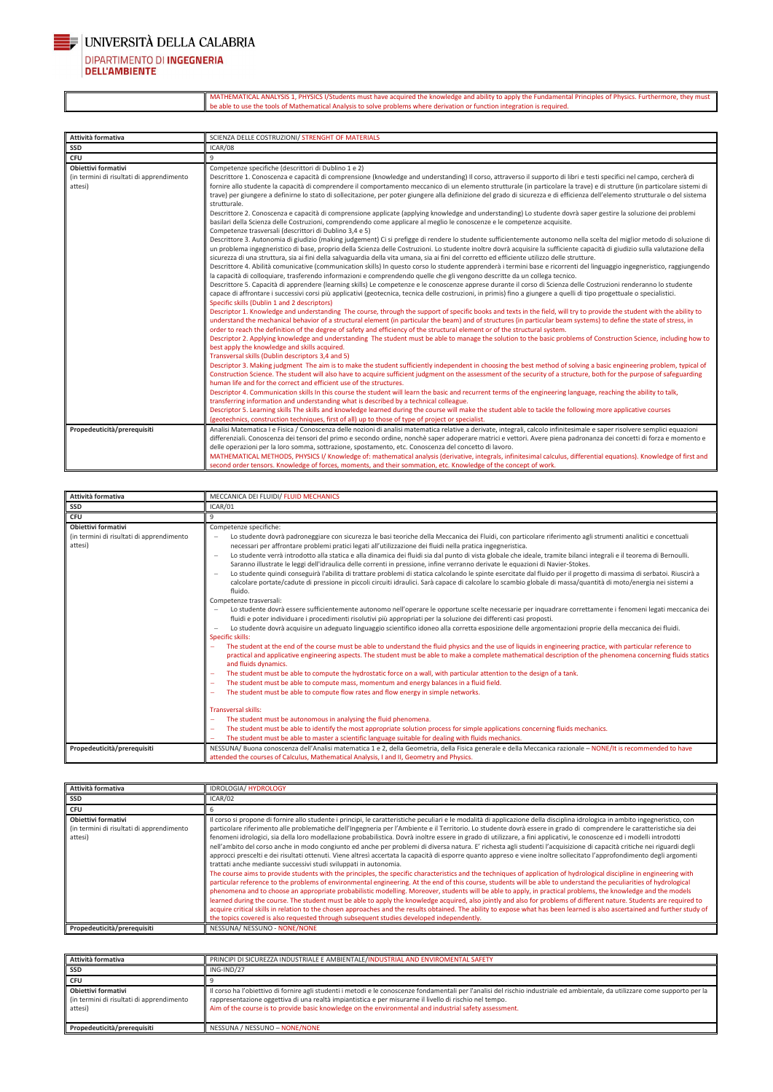

**DIPARTIMENTO DI INGEGNERIA DELL'AMBIENTE** 

> MATHEMATICAL ANALYSIS 1, PHYSICS I/Students must have acquired the knowledge and ability to apply the Fundamental Principles of Physics. Furthermore, they must be able to use the tools of Mathematical Analysis to solve problems where derivation or function integration is required.

| Attività formativa                                                          | SCIENZA DELLE COSTRUZIONI/ STRENGHT OF MATERIALS                                                                                                                                                                                                                                                                                                                                                                                                                                                                                                                                                                                                                                                                                                                                                                                                                                                                                                                                                                                                                                                                                                                                                                                                                                                                                                                                                                                                                                                                                                                                                                                                                                                                                                                                                                                                                                                                                                                                                                                                                                                                                                                                                                                                                                                                                                                                                                                                                                                                                                                                                                                                                                                                                                                                                                                                                                                                                                                                                                                                                                                                                                                                                                                                                                                                  |
|-----------------------------------------------------------------------------|-------------------------------------------------------------------------------------------------------------------------------------------------------------------------------------------------------------------------------------------------------------------------------------------------------------------------------------------------------------------------------------------------------------------------------------------------------------------------------------------------------------------------------------------------------------------------------------------------------------------------------------------------------------------------------------------------------------------------------------------------------------------------------------------------------------------------------------------------------------------------------------------------------------------------------------------------------------------------------------------------------------------------------------------------------------------------------------------------------------------------------------------------------------------------------------------------------------------------------------------------------------------------------------------------------------------------------------------------------------------------------------------------------------------------------------------------------------------------------------------------------------------------------------------------------------------------------------------------------------------------------------------------------------------------------------------------------------------------------------------------------------------------------------------------------------------------------------------------------------------------------------------------------------------------------------------------------------------------------------------------------------------------------------------------------------------------------------------------------------------------------------------------------------------------------------------------------------------------------------------------------------------------------------------------------------------------------------------------------------------------------------------------------------------------------------------------------------------------------------------------------------------------------------------------------------------------------------------------------------------------------------------------------------------------------------------------------------------------------------------------------------------------------------------------------------------------------------------------------------------------------------------------------------------------------------------------------------------------------------------------------------------------------------------------------------------------------------------------------------------------------------------------------------------------------------------------------------------------------------------------------------------------------------------------------------------|
| <b>SSD</b>                                                                  | ICAR/08                                                                                                                                                                                                                                                                                                                                                                                                                                                                                                                                                                                                                                                                                                                                                                                                                                                                                                                                                                                                                                                                                                                                                                                                                                                                                                                                                                                                                                                                                                                                                                                                                                                                                                                                                                                                                                                                                                                                                                                                                                                                                                                                                                                                                                                                                                                                                                                                                                                                                                                                                                                                                                                                                                                                                                                                                                                                                                                                                                                                                                                                                                                                                                                                                                                                                                           |
| <b>CFU</b>                                                                  | 9                                                                                                                                                                                                                                                                                                                                                                                                                                                                                                                                                                                                                                                                                                                                                                                                                                                                                                                                                                                                                                                                                                                                                                                                                                                                                                                                                                                                                                                                                                                                                                                                                                                                                                                                                                                                                                                                                                                                                                                                                                                                                                                                                                                                                                                                                                                                                                                                                                                                                                                                                                                                                                                                                                                                                                                                                                                                                                                                                                                                                                                                                                                                                                                                                                                                                                                 |
| Obiettivi formativi<br>(in termini di risultati di apprendimento<br>attesi) | Competenze specifiche (descrittori di Dublino 1 e 2)<br>Descrittore 1. Conoscenza e capacità di comprensione (knowledge and understanding) Il corso, attraverso il supporto di libri e testi specifici nel campo, cercherà di<br>fornire allo studente la capacità di comprendere il comportamento meccanico di un elemento strutturale (in particolare la trave) e di strutture (in particolare sistemi di<br>trave) per giungere a definirne lo stato di sollecitazione, per poter giungere alla definizione del grado di sicurezza e di efficienza dell'elemento strutturale o del sistema<br>strutturale.<br>Descrittore 2. Conoscenza e capacità di comprensione applicate (applying knowledge and understanding) Lo studente dovrà saper gestire la soluzione dei problemi<br>basilari della Scienza delle Costruzioni, comprendendo come applicare al meglio le conoscenze e le competenze acquisite.<br>Competenze trasversali (descrittori di Dublino 3,4 e 5)<br>Descrittore 3. Autonomia di giudizio (making judgement) Ci si prefigge di rendere lo studente sufficientemente autonomo nella scelta del miglior metodo di soluzione di<br>un problema ingegneristico di base, proprio della Scienza delle Costruzioni. Lo studente inoltre dovrà acquisire la sufficiente capacità di giudizio sulla valutazione della<br>sicurezza di una struttura, sia ai fini della salvaguardia della vita umana, sia ai fini del corretto ed efficiente utilizzo delle strutture.<br>Descrittore 4. Abilità comunicative (communication skills) In questo corso lo studente apprenderà i termini base e ricorrenti del linguaggio ingegneristico, raggiungendo<br>la capacità di colloquiare, trasferendo informazioni e comprendendo quelle che gli vengono descritte da un collega tecnico.<br>Descrittore 5. Capacità di apprendere (learning skills) Le competenze e le conoscenze apprese durante il corso di Scienza delle Costruzioni renderanno lo studente<br>capace di affrontare i successivi corsi più applicativi (geotecnica, tecnica delle costruzioni, in primis) fino a giungere a quelli di tipo progettuale o specialistici.<br>Specific skills (Dublin 1 and 2 descriptors)<br>Descriptor 1. Knowledge and understanding The course, through the support of specific books and texts in the field, will try to provide the student with the ability to<br>understand the mechanical behavior of a structural element (in particular the beam) and of structures (in particular beam systems) to define the state of stress, in<br>order to reach the definition of the degree of safety and efficiency of the structural element or of the structural system.<br>Descriptor 2. Applying knowledge and understanding The student must be able to manage the solution to the basic problems of Construction Science, including how to<br>best apply the knowledge and skills acquired.<br>Transversal skills (Dublin descriptors 3,4 and 5)<br>Descriptor 3. Making judgment The aim is to make the student sufficiently independent in choosing the best method of solving a basic engineering problem, typical of<br>Construction Science. The student will also have to acquire sufficient judgment on the assessment of the security of a structure, both for the purpose of safeguarding |
|                                                                             | human life and for the correct and efficient use of the structures.<br>Descriptor 4. Communication skills In this course the student will learn the basic and recurrent terms of the engineering language, reaching the ability to talk,<br>transferring information and understanding what is described by a technical colleague.<br>Descriptor 5. Learning skills The skills and knowledge learned during the course will make the student able to tackle the following more applicative courses<br>(geotechnics, construction techniques, first of all) up to those of type of project or specialist.                                                                                                                                                                                                                                                                                                                                                                                                                                                                                                                                                                                                                                                                                                                                                                                                                                                                                                                                                                                                                                                                                                                                                                                                                                                                                                                                                                                                                                                                                                                                                                                                                                                                                                                                                                                                                                                                                                                                                                                                                                                                                                                                                                                                                                                                                                                                                                                                                                                                                                                                                                                                                                                                                                          |
| Propedeuticità/prerequisiti                                                 | Analisi Matematica I e Fisica / Conoscenza delle nozioni di analisi matematica relative a derivate, integrali, calcolo infinitesimale e saper risolvere semplici equazioni<br>differenziali. Conoscenza dei tensori del primo e secondo ordine, nonchè saper adoperare matrici e vettori. Avere piena padronanza dei concetti di forza e momento e<br>delle operazioni per la loro somma, sottrazione, spostamento, etc. Conoscenza del concetto di lavoro.<br>MATHEMATICAL METHODS, PHYSICS I/ Knowledge of: mathematical analysis (derivative, integrals, infinitesimal calculus, differential equations). Knowledge of first and<br>second order tensors. Knowledge of forces, moments, and their sommation, etc. Knowledge of the concept of work.                                                                                                                                                                                                                                                                                                                                                                                                                                                                                                                                                                                                                                                                                                                                                                                                                                                                                                                                                                                                                                                                                                                                                                                                                                                                                                                                                                                                                                                                                                                                                                                                                                                                                                                                                                                                                                                                                                                                                                                                                                                                                                                                                                                                                                                                                                                                                                                                                                                                                                                                                            |

| Attività formativa                                                          | MECCANICA DEI FLUIDI/ FLUID MECHANICS                                                                                                                                                                                                                                                                                                                                                                                                                                                                                                                                                                                                                                                                                                                                                                                                                                                                                                                                                                                                                                                                                                                                                                                                                                                                                                                                                                                                                                                                                                                                                                                                                                                                                                                                                                                                                                                                                                                                                                                                                                                                                                                                                                                                                                                                                                                                                                                                                                                                                                                    |
|-----------------------------------------------------------------------------|----------------------------------------------------------------------------------------------------------------------------------------------------------------------------------------------------------------------------------------------------------------------------------------------------------------------------------------------------------------------------------------------------------------------------------------------------------------------------------------------------------------------------------------------------------------------------------------------------------------------------------------------------------------------------------------------------------------------------------------------------------------------------------------------------------------------------------------------------------------------------------------------------------------------------------------------------------------------------------------------------------------------------------------------------------------------------------------------------------------------------------------------------------------------------------------------------------------------------------------------------------------------------------------------------------------------------------------------------------------------------------------------------------------------------------------------------------------------------------------------------------------------------------------------------------------------------------------------------------------------------------------------------------------------------------------------------------------------------------------------------------------------------------------------------------------------------------------------------------------------------------------------------------------------------------------------------------------------------------------------------------------------------------------------------------------------------------------------------------------------------------------------------------------------------------------------------------------------------------------------------------------------------------------------------------------------------------------------------------------------------------------------------------------------------------------------------------------------------------------------------------------------------------------------------------|
| <b>SSD</b>                                                                  | ICAR/01                                                                                                                                                                                                                                                                                                                                                                                                                                                                                                                                                                                                                                                                                                                                                                                                                                                                                                                                                                                                                                                                                                                                                                                                                                                                                                                                                                                                                                                                                                                                                                                                                                                                                                                                                                                                                                                                                                                                                                                                                                                                                                                                                                                                                                                                                                                                                                                                                                                                                                                                                  |
| <b>CFU</b>                                                                  | q                                                                                                                                                                                                                                                                                                                                                                                                                                                                                                                                                                                                                                                                                                                                                                                                                                                                                                                                                                                                                                                                                                                                                                                                                                                                                                                                                                                                                                                                                                                                                                                                                                                                                                                                                                                                                                                                                                                                                                                                                                                                                                                                                                                                                                                                                                                                                                                                                                                                                                                                                        |
| Obiettivi formativi<br>(in termini di risultati di apprendimento<br>attesi) | Competenze specifiche:<br>Lo studente dovrà padroneggiare con sicurezza le basi teoriche della Meccanica dei Fluidi, con particolare riferimento agli strumenti analitici e concettuali<br>necessari per affrontare problemi pratici legati all'utilizzazione dei fluidi nella pratica ingegneristica.<br>Lo studente verrà introdotto alla statica e alla dinamica dei fluidi sia dal punto di vista globale che ideale, tramite bilanci integrali e il teorema di Bernoulli.<br>$\overline{\phantom{m}}$<br>Saranno illustrate le leggi dell'idraulica delle correnti in pressione, infine verranno derivate le equazioni di Navier-Stokes.<br>Lo studente quindi conseguirà l'abilita di trattare problemi di statica calcolando le spinte esercitate dal fluido per il progetto di massima di serbatoi. Riuscirà a<br>$\overline{\phantom{0}}$<br>calcolare portate/cadute di pressione in piccoli circuiti idraulici. Sarà capace di calcolare lo scambio globale di massa/quantità di moto/energia nei sistemi a<br>fluido.<br>Competenze trasversali:<br>Lo studente dovrà essere sufficientemente autonomo nell'operare le opportune scelte necessarie per inquadrare correttamente i fenomeni legati meccanica dei<br>fluidi e poter individuare i procedimenti risolutivi più appropriati per la soluzione dei differenti casi proposti.<br>Lo studente dovrà acquisire un adeguato linguaggio scientifico idoneo alla corretta esposizione delle argomentazioni proprie della meccanica dei fluidi.<br>Specific skills:<br>The student at the end of the course must be able to understand the fluid physics and the use of liquids in engineering practice, with particular reference to<br>practical and applicative engineering aspects. The student must be able to make a complete mathematical description of the phenomena concerning fluids statics<br>and fluids dynamics.<br>The student must be able to compute the hydrostatic force on a wall, with particular attention to the design of a tank.<br>The student must be able to compute mass, momentum and energy balances in a fluid field.<br>The student must be able to compute flow rates and flow energy in simple networks.<br><b>Transversal skills:</b><br>The student must be autonomous in analysing the fluid phenomena.<br>The student must be able to identify the most appropriate solution process for simple applications concerning fluids mechanics.<br>The student must be able to master a scientific language suitable for dealing with fluids mechanics. |
| Propedeuticità/prerequisiti                                                 | NESSUNA/Buona conoscenza dell'Analisi matematica 1 e 2, della Geometria, della Fisica generale e della Meccanica razionale - NONE/It is recommended to have<br>attended the courses of Calculus, Mathematical Analysis, I and II, Geometry and Physics.                                                                                                                                                                                                                                                                                                                                                                                                                                                                                                                                                                                                                                                                                                                                                                                                                                                                                                                                                                                                                                                                                                                                                                                                                                                                                                                                                                                                                                                                                                                                                                                                                                                                                                                                                                                                                                                                                                                                                                                                                                                                                                                                                                                                                                                                                                  |

| Attività formativa  | <b>IDROLOGIA/HYDROLOGY</b>                                                                                                                                                    |
|---------------------|-------------------------------------------------------------------------------------------------------------------------------------------------------------------------------|
| SSD                 | ICAR/02                                                                                                                                                                       |
| CFU                 |                                                                                                                                                                               |
| Obiettivi formativi | Il corso si propone di fornire allo studente i principi, le caratteristiche peculiari e le modalità di applicazione della disciplina idrologica in ambito ingegneristico, con |

| Propedeuticità/prerequisiti               | NESSUNA/ NESSUNO - NONE/NONE                                                                                                                                                                                                                                                                                                         |
|-------------------------------------------|--------------------------------------------------------------------------------------------------------------------------------------------------------------------------------------------------------------------------------------------------------------------------------------------------------------------------------------|
|                                           | the topics covered is also requested through subsequent studies developed independently.                                                                                                                                                                                                                                             |
|                                           | acquire critical skills in relation to the chosen approaches and the results obtained. The ability to expose what has been learned is also ascertained and further study of                                                                                                                                                          |
|                                           | learned during the course. The student must be able to apply the knowledge acquired, also jointly and also for problems of different nature. Students are required to                                                                                                                                                                |
|                                           | particular reference to the problems of environmental engineering. At the end of this course, students will be able to understand the peculiarities of hydrological<br>phenomena and to choose an appropriate probabilistic modelling. Moreover, students will be able to apply, in practical problems, the knowledge and the models |
|                                           | The course aims to provide students with the principles, the specific characteristics and the techniques of application of hydrological discipline in engineering with                                                                                                                                                               |
|                                           | trattati anche mediante successivi studi sviluppati in autonomia.                                                                                                                                                                                                                                                                    |
|                                           | approcci prescelti e dei risultati ottenuti. Viene altresì accertata la capacità di esporre quanto appreso e viene inoltre sollecitato l'approfondimento degli argomenti                                                                                                                                                             |
|                                           | nell'ambito del corso anche in modo congiunto ed anche per problemi di diversa natura. E' richesta agli studenti l'acquisizione di capacità critiche nei riguardi degli                                                                                                                                                              |
| attesi)                                   | fenomeni idrologici, sia della loro modellazione probabilistica. Dovrà inoltre essere in grado di utilizzare, a fini applicativi, le conoscenze ed i modelli introdotti                                                                                                                                                              |
| (in termini di risultati di apprendimento | particolare riferimento alle problematiche dell'Ingegneria per l'Ambiente e il Territorio. Lo studente dovrà essere in grado di comprendere le caratteristiche sia dei                                                                                                                                                               |

| Attività formativa                                                          | PRINCIPI DI SICUREZZA INDUSTRIALE E AMBIENTALE/INDUSTRIAL AND ENVIROMENTAL SAFETY                                                                                                                                                                                                                                                                                                                   |
|-----------------------------------------------------------------------------|-----------------------------------------------------------------------------------------------------------------------------------------------------------------------------------------------------------------------------------------------------------------------------------------------------------------------------------------------------------------------------------------------------|
| SSD                                                                         | ING-IND/27                                                                                                                                                                                                                                                                                                                                                                                          |
| <b>CFU</b>                                                                  |                                                                                                                                                                                                                                                                                                                                                                                                     |
| Obiettivi formativi<br>(in termini di risultati di apprendimento<br>attesi) | Il corso ha l'obiettivo di fornire agli studenti i metodi e le conoscenze fondamentali per l'analisi del rischio industriale ed ambientale, da utilizzare come supporto per la<br>rappresentazione oggettiva di una realtà impiantistica e per misurarne il livello di rischio nel tempo.<br>Aim of the course is to provide basic knowledge on the environmental and industrial safety assessment. |
| Propedeuticità/prerequisiti                                                 | NESSUNA / NESSUNO - NONE/NONE                                                                                                                                                                                                                                                                                                                                                                       |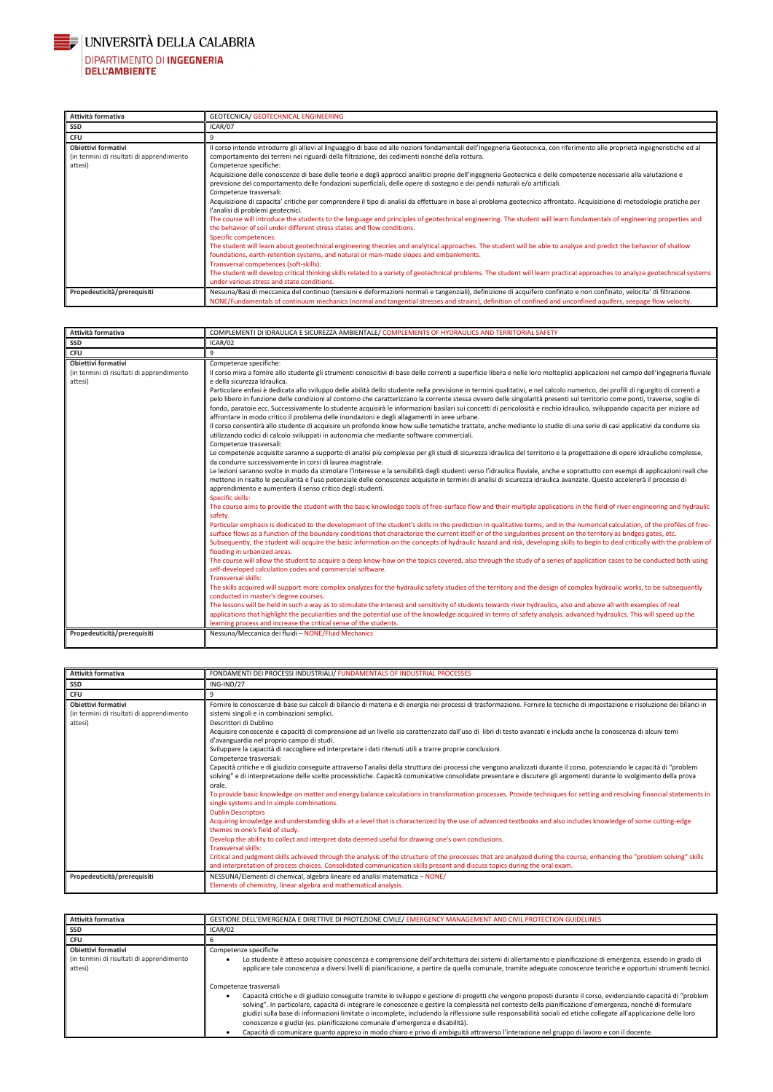

# UNIVERSITÀ DELLA CALABRIA DIPARTIMENTO DI INGEGNERIA<br>DELL'AMBIENTE

| Attività formativa                                                          | GEOTECNICA/ GEOTECHNICAL ENGINEERING                                                                                                                                                                                                                                                                                                                                                                                                                                                                                                                                                                                                                                                                                                                                                                                                                                                                                                                                                                                                                                                                                                                                                                                                                                                                                                                                                                                                                                                                                                                                                                                                                                   |
|-----------------------------------------------------------------------------|------------------------------------------------------------------------------------------------------------------------------------------------------------------------------------------------------------------------------------------------------------------------------------------------------------------------------------------------------------------------------------------------------------------------------------------------------------------------------------------------------------------------------------------------------------------------------------------------------------------------------------------------------------------------------------------------------------------------------------------------------------------------------------------------------------------------------------------------------------------------------------------------------------------------------------------------------------------------------------------------------------------------------------------------------------------------------------------------------------------------------------------------------------------------------------------------------------------------------------------------------------------------------------------------------------------------------------------------------------------------------------------------------------------------------------------------------------------------------------------------------------------------------------------------------------------------------------------------------------------------------------------------------------------------|
| SSD                                                                         | ICAR/07                                                                                                                                                                                                                                                                                                                                                                                                                                                                                                                                                                                                                                                                                                                                                                                                                                                                                                                                                                                                                                                                                                                                                                                                                                                                                                                                                                                                                                                                                                                                                                                                                                                                |
| CFU                                                                         | 9                                                                                                                                                                                                                                                                                                                                                                                                                                                                                                                                                                                                                                                                                                                                                                                                                                                                                                                                                                                                                                                                                                                                                                                                                                                                                                                                                                                                                                                                                                                                                                                                                                                                      |
| Obiettivi formativi<br>(in termini di risultati di apprendimento<br>attesi) | Il corso intende introdurre gli allievi al linguaggio di base ed alle nozioni fondamentali dell'Ingegneria Geotecnica, con riferimento alle proprietà ingegneristiche ed al<br>comportamento dei terreni nei riguardi della filtrazione, dei cedimenti nonché della rottura.<br>Competenze specifiche:<br>Acquisizione delle conoscenze di base delle teorie e degli approcci analitici proprie dell'ingegneria Geotecnica e delle competenze necessarie alla valutazione e<br>previsione del comportamento delle fondazioni superficiali, delle opere di sostegno e dei pendii naturali e/o artificiali.<br>Competenze trasversali:<br>Acquisizione di capacita' critiche per comprendere il tipo di analisi da effettuare in base al problema geotecnico affrontato. Acquisizione di metodologie pratiche per<br>l'analisi di problemi geotecnici.<br>The course will introduce the students to the language and principles of geotechnical engineering. The student will learn fundamentals of engineering properties and<br>the behavior of soil under different stress states and flow conditions.<br>Specific competences:<br>The student will learn about geotechnical engineering theories and analytical approaches. The student will be able to analyze and predict the behavior of shallow<br>foundations, earth-retention systems, and natural or man-made slopes and embankments.<br>Transversal competences (soft-skills):<br>The student will develop critical thinking skills related to a variety of geotechnical problems. The student will learn practical approaches to analyze geotechnical systems<br>under various stress and state conditions. |
| Propedeuticità/prerequisiti                                                 | Nessuna/Basi di meccanica del continuo (tensioni e deformazioni normali e tangenziali), definizione di acquifero confinato e non confinato, velocita' di filtrazione.<br>NONE/Fundamentals of continuum mechanics (normal and tangential stresses and strains), definition of confined and unconfined aquifers, seepage flow velocity.                                                                                                                                                                                                                                                                                                                                                                                                                                                                                                                                                                                                                                                                                                                                                                                                                                                                                                                                                                                                                                                                                                                                                                                                                                                                                                                                 |

| Attività formativa                                                                 | COMPLEMENTI DI IDRAULICA E SICUREZZA AMBIENTALE/ COMPLEMENTS OF HYDRAULICS AND TERRITORIAL SAFETY                                                                                                                                                                                                                                                                                                                                                                                                                                                                                                                                                                                                                                                                                                                                                                                                                                                                                                                                                                                                                                                                                                                                                                                                                                                                                                                                                                                                                                                                                                                                                                                                                                                                                                                                                                                                                                                                                                                                                                                                                                                                                                                                                                                                                                                                                                                                                                                                                                                                                                                                                                                                                                                                                                                                                                                                                                                                                                                                                                                                                                                                                                                                                                                                                                                                                                                                                                                                                                                                         |
|------------------------------------------------------------------------------------|---------------------------------------------------------------------------------------------------------------------------------------------------------------------------------------------------------------------------------------------------------------------------------------------------------------------------------------------------------------------------------------------------------------------------------------------------------------------------------------------------------------------------------------------------------------------------------------------------------------------------------------------------------------------------------------------------------------------------------------------------------------------------------------------------------------------------------------------------------------------------------------------------------------------------------------------------------------------------------------------------------------------------------------------------------------------------------------------------------------------------------------------------------------------------------------------------------------------------------------------------------------------------------------------------------------------------------------------------------------------------------------------------------------------------------------------------------------------------------------------------------------------------------------------------------------------------------------------------------------------------------------------------------------------------------------------------------------------------------------------------------------------------------------------------------------------------------------------------------------------------------------------------------------------------------------------------------------------------------------------------------------------------------------------------------------------------------------------------------------------------------------------------------------------------------------------------------------------------------------------------------------------------------------------------------------------------------------------------------------------------------------------------------------------------------------------------------------------------------------------------------------------------------------------------------------------------------------------------------------------------------------------------------------------------------------------------------------------------------------------------------------------------------------------------------------------------------------------------------------------------------------------------------------------------------------------------------------------------------------------------------------------------------------------------------------------------------------------------------------------------------------------------------------------------------------------------------------------------------------------------------------------------------------------------------------------------------------------------------------------------------------------------------------------------------------------------------------------------------------------------------------------------------------------------------------------------|
| SSD                                                                                | ICAR/02                                                                                                                                                                                                                                                                                                                                                                                                                                                                                                                                                                                                                                                                                                                                                                                                                                                                                                                                                                                                                                                                                                                                                                                                                                                                                                                                                                                                                                                                                                                                                                                                                                                                                                                                                                                                                                                                                                                                                                                                                                                                                                                                                                                                                                                                                                                                                                                                                                                                                                                                                                                                                                                                                                                                                                                                                                                                                                                                                                                                                                                                                                                                                                                                                                                                                                                                                                                                                                                                                                                                                                   |
| <b>CFU</b>                                                                         | 9                                                                                                                                                                                                                                                                                                                                                                                                                                                                                                                                                                                                                                                                                                                                                                                                                                                                                                                                                                                                                                                                                                                                                                                                                                                                                                                                                                                                                                                                                                                                                                                                                                                                                                                                                                                                                                                                                                                                                                                                                                                                                                                                                                                                                                                                                                                                                                                                                                                                                                                                                                                                                                                                                                                                                                                                                                                                                                                                                                                                                                                                                                                                                                                                                                                                                                                                                                                                                                                                                                                                                                         |
| <b>Obiettivi formativi</b><br>(in termini di risultati di apprendimento<br>attesi) | Competenze specifiche:<br>Il corso mira a fornire allo studente gli strumenti conoscitivi di base delle correnti a superficie libera e nelle loro molteplici applicazioni nel campo dell'ingegneria fluviale<br>e della sicurezza Idraulica.<br>Particolare enfasi è dedicata allo sviluppo delle abilità dello studente nella previsione in termini qualitativi, e nel calcolo numerico, dei profili di rigurgito di correnti a<br>pelo libero in funzione delle condizioni al contorno che caratterizzano la corrente stessa ovvero delle singolarità presenti sul territorio come ponti, traverse, soglie di<br>fondo, paratoie ecc. Successivamente lo studente acquisirà le informazioni basilari sui concetti di pericolosità e rischio idraulico, sviluppando capacità per iniziare ad<br>affrontare in modo critico il problema delle inondazioni e degli allagamenti in aree urbane.<br>Il corso consentirà allo studente di acquisire un profondo know how sulle tematiche trattate, anche mediante lo studio di una serie di casi applicativi da condurre sia<br>utilizzando codici di calcolo sviluppati in autonomia che mediante software commerciali.<br>Competenze trasversali:<br>Le competenze acquisite saranno a supporto di analisi più complesse per gli studi di sicurezza idraulica del territorio e la progettazione di opere idrauliche complesse,<br>da condurre successivamente in corsi di laurea magistrale.<br>Le lezioni saranno svolte in modo da stimolare l'interesse e la sensibilità degli studenti verso l'idraulica fluviale, anche e soprattutto con esempi di applicazioni reali che<br>mettono in risalto le peculiarità e l'uso potenziale delle conoscenze acquisite in termini di analisi di sicurezza idraulica avanzate. Questo accelererà il processo di<br>apprendimento e aumenterà il senso critico degli studenti.<br>Specific skills:<br>The course aims to provide the student with the basic knowledge tools of free-surface flow and their multiple applications in the field of river engineering and hydraulic<br>safety.<br>Particular emphasis is dedicated to the development of the student's skills in the prediction in qualitative terms, and in the numerical calculation, of the profiles of free-<br>surface flows as a function of the boundary conditions that characterize the current itself or of the singularities present on the territory as bridges gates, etc.<br>Subsequently, the student will acquire the basic information on the concepts of hydraulic hazard and risk, developing skills to begin to deal critically with the problem of<br>flooding in urbanized areas.<br>The course will allow the student to acquire a deep know-how on the topics covered, also through the study of a series of application cases to be conducted both using<br>self-developed calculation codes and commercial software.<br><b>Transversal skills:</b><br>The skills acquired will support more complex analyzes for the hydraulic safety studies of the territory and the design of complex hydraulic works, to be subsequently<br>conducted in master's degree courses.<br>The lessons will be held in such a way as to stimulate the interest and sensitivity of students towards river hydraulics, also and above all with examples of real<br>applications that highlight the peculiarities and the potential use of the knowledge acquired in terms of safety analysis, advanced hydraulics. This will speed up the<br>learning process and increase the critical sense of the students. |
| Propedeuticità/prerequisiti                                                        | Nessuna/Meccanica dei fluidi - NONE/Fluid Mechanics                                                                                                                                                                                                                                                                                                                                                                                                                                                                                                                                                                                                                                                                                                                                                                                                                                                                                                                                                                                                                                                                                                                                                                                                                                                                                                                                                                                                                                                                                                                                                                                                                                                                                                                                                                                                                                                                                                                                                                                                                                                                                                                                                                                                                                                                                                                                                                                                                                                                                                                                                                                                                                                                                                                                                                                                                                                                                                                                                                                                                                                                                                                                                                                                                                                                                                                                                                                                                                                                                                                       |

| Attività formativa                                                          | FONDAMENTI DEI PROCESSI INDUSTRIALI/ FUNDAMENTALS OF INDUSTRIAL PROCESSES                                                                                                                                                                                                                                                                                                                                                                                                                                                                                                                                                                                                                                                                                                                                                                                                                                                                                                                                                                                                                                                                                                                                                                                                                                                                                                                                |
|-----------------------------------------------------------------------------|----------------------------------------------------------------------------------------------------------------------------------------------------------------------------------------------------------------------------------------------------------------------------------------------------------------------------------------------------------------------------------------------------------------------------------------------------------------------------------------------------------------------------------------------------------------------------------------------------------------------------------------------------------------------------------------------------------------------------------------------------------------------------------------------------------------------------------------------------------------------------------------------------------------------------------------------------------------------------------------------------------------------------------------------------------------------------------------------------------------------------------------------------------------------------------------------------------------------------------------------------------------------------------------------------------------------------------------------------------------------------------------------------------|
| <b>SSD</b>                                                                  | ING-IND/27                                                                                                                                                                                                                                                                                                                                                                                                                                                                                                                                                                                                                                                                                                                                                                                                                                                                                                                                                                                                                                                                                                                                                                                                                                                                                                                                                                                               |
| <b>CFU</b>                                                                  |                                                                                                                                                                                                                                                                                                                                                                                                                                                                                                                                                                                                                                                                                                                                                                                                                                                                                                                                                                                                                                                                                                                                                                                                                                                                                                                                                                                                          |
| Obiettivi formativi<br>(in termini di risultati di apprendimento<br>attesi) | Fornire le conoscenze di base sui calcoli di bilancio di materia e di energia nei processi di trasformazione. Fornire le tecniche di impostazione e risoluzione dei bilanci in<br>sistemi singoli e in combinazioni semplici.<br>Descrittori di Dublino<br>Acquisire conoscenze e capacità di comprensione ad un livello sia caratterizzato dall'uso di libri di testo avanzati e includa anche la conoscenza di alcuni temi<br>d'avanguardia nel proprio campo di studi.<br>Sviluppare la capacità di raccogliere ed interpretare i dati ritenuti utili a trarre proprie conclusioni.<br>Competenze trasversali:<br>Capacità critiche e di giudizio conseguite attraverso l'analisi della struttura dei processi che vengono analizzati durante il corso, potenziando le capacità di "problem<br>solving" e di interpretazione delle scelte processistiche. Capacità comunicative consolidate presentare e discutere gli argomenti durante lo svolgimento della prova<br>orale.<br>To provide basic knowledge on matter and energy balance calculations in transformation processes. Provide techniques for setting and resolving financial statements in<br>single systems and in simple combinations.<br><b>Dublin Descriptors</b><br>Acquiring knowledge and understanding skills at a level that is characterized by the use of advanced textbooks and also includes knowledge of some cutting-edge |

|                             | themes in one's field of study.                                                                                                                                          |
|-----------------------------|--------------------------------------------------------------------------------------------------------------------------------------------------------------------------|
|                             | Develop the ability to collect and interpret data deemed useful for drawing one's own conclusions.                                                                       |
|                             | <b>Transversal skills:</b>                                                                                                                                               |
|                             | Critical and judgment skills achieved through the analysis of the structure of the processes that are analyzed during the course, enhancing the "problem solving" skills |
|                             | and interpretation of process choices. Consolidated communication skills present and discuss topics during the oral exam.                                                |
| Propedeuticità/prerequisiti | NESSUNA/Elementi di chemical, algebra lineare ed analisi matematica - NONE/                                                                                              |
|                             | Elements of chemistry, linear algebra and mathematical analysis.                                                                                                         |

| Attività formativa                                                          | GESTIONE DELL'EMERGENZA E DIRETTIVE DI PROTEZIONE CIVILE/ EMERGENCY MANAGEMENT AND CIVIL PROTECTION GUIDELINES                                                                                                                                                                                                                                                                                                                                                                                                                                                                                                                                                                                                                                         |
|-----------------------------------------------------------------------------|--------------------------------------------------------------------------------------------------------------------------------------------------------------------------------------------------------------------------------------------------------------------------------------------------------------------------------------------------------------------------------------------------------------------------------------------------------------------------------------------------------------------------------------------------------------------------------------------------------------------------------------------------------------------------------------------------------------------------------------------------------|
| SSD                                                                         | ICAR/02                                                                                                                                                                                                                                                                                                                                                                                                                                                                                                                                                                                                                                                                                                                                                |
| <b>CFU</b>                                                                  |                                                                                                                                                                                                                                                                                                                                                                                                                                                                                                                                                                                                                                                                                                                                                        |
| Obiettivi formativi<br>(in termini di risultati di apprendimento<br>attesi) | Competenze specifiche<br>Lo studente è atteso acquisire conoscenza e comprensione dell'architettura dei sistemi di allertamento e pianificazione di emergenza, essendo in grado di<br>applicare tale conoscenza a diversi livelli di pianificazione, a partire da quella comunale, tramite adeguate conoscenze teoriche e opportuni strumenti tecnici.                                                                                                                                                                                                                                                                                                                                                                                                 |
|                                                                             | Competenze trasversali<br>Capacità critiche e di giudizio conseguite tramite lo sviluppo e gestione di progetti che vengono proposti durante il corso, evidenziando capacità di "problem<br>solving". In particolare, capacità di integrare le conoscenze e gestire la complessità nel contesto della pianificazione d'emergenza, nonché di formulare<br>giudizi sulla base di informazioni limitate o incomplete, includendo la riflessione sulle responsabilità sociali ed etiche collegate all'applicazione delle loro<br>conoscenze e giudizi (es. pianificazione comunale d'emergenza e disabilità).<br>Capacità di comunicare quanto appreso in modo chiaro e privo di ambiguità attraverso l'interazione nel gruppo di lavoro e con il docente. |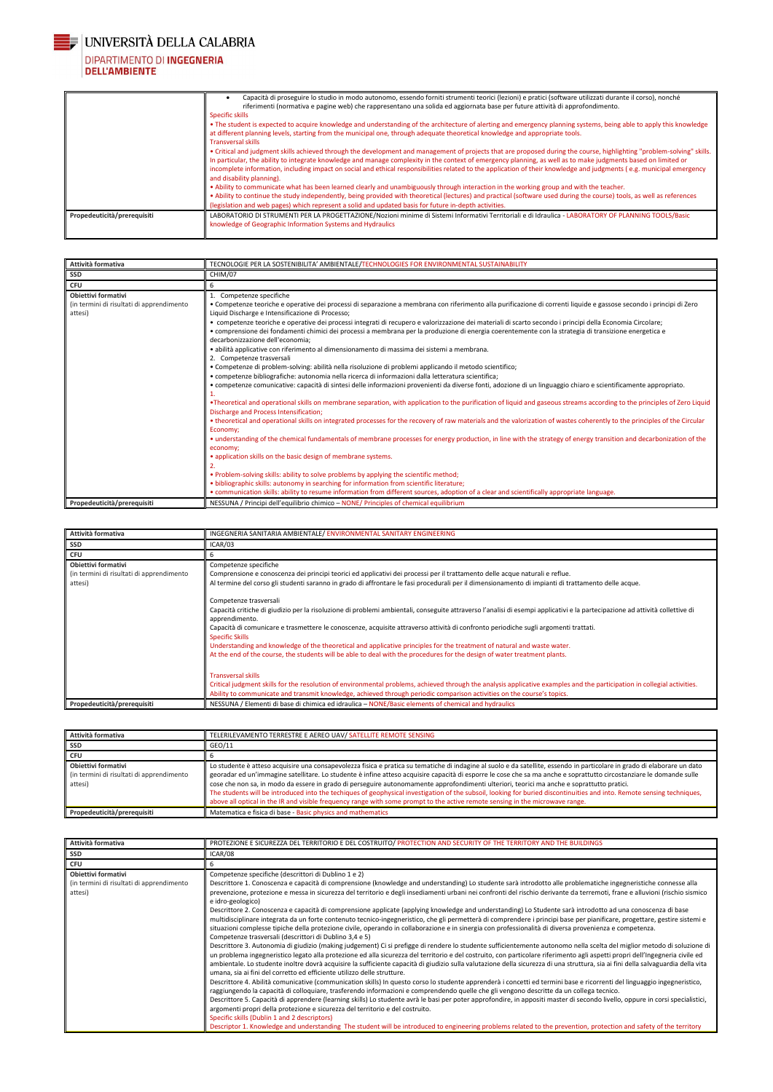

# DIPARTIMENTO DI INGEGNERIA<br>DELL'AMBIENTE

|                             | Capacità di proseguire lo studio in modo autonomo, essendo forniti strumenti teorici (lezioni) e pratici (software utilizzati durante il corso), nonché<br>riferimenti (normativa e pagine web) che rappresentano una solida ed aggiornata base per future attività di approfondimento.<br>Specific skills                                                                                                                                                                                                                                     |
|-----------------------------|------------------------------------------------------------------------------------------------------------------------------------------------------------------------------------------------------------------------------------------------------------------------------------------------------------------------------------------------------------------------------------------------------------------------------------------------------------------------------------------------------------------------------------------------|
|                             | • The student is expected to acquire knowledge and understanding of the architecture of alerting and emergency planning systems, being able to apply this knowledge<br>at different planning levels, starting from the municipal one, through adequate theoretical knowledge and appropriate tools.<br><b>Transversal skills</b>                                                                                                                                                                                                               |
|                             | • Critical and judgment skills achieved through the development and management of projects that are proposed during the course, highlighting "problem-solving" skills.<br>In particular, the ability to integrate knowledge and manage complexity in the context of emergency planning, as well as to make judgments based on limited or<br>incomplete information, including impact on social and ethical responsibilities related to the application of their knowledge and judgments (e.g. municipal emergency<br>and disability planning). |
|                             | . Ability to communicate what has been learned clearly and unambiguously through interaction in the working group and with the teacher.<br>• Ability to continue the study independently, being provided with theoretical (lectures) and practical (software used during the course) tools, as well as references<br>(legislation and web pages) which represent a solid and updated basis for future in-depth activities.                                                                                                                     |
| Propedeuticità/prerequisiti | LABORATORIO DI STRUMENTI PER LA PROGETTAZIONE/Nozioni minime di Sistemi Informativi Territoriali e di Idraulica - LABORATORY OF PLANNING TOOLS/Basic<br>knowledge of Geographic Information Systems and Hydraulics                                                                                                                                                                                                                                                                                                                             |

| Attività formativa                                                                 | TECNOLOGIE PER LA SOSTENIBILITA' AMBIENTALE/TECHNOLOGIES FOR ENVIRONMENTAL SUSTAINABILITY                                                                                                                                                                                                                                                                                                                                                                                                                                                                                                                                                                                                                                                                                                                                                                                                                                                                                                                                                                                                                                                                                                                                                                                                                                                                                                                                                                                                                                                                                                                                                                                                                                                                                                                                                                                                                                                                                                                                                                                                                                                 |
|------------------------------------------------------------------------------------|-------------------------------------------------------------------------------------------------------------------------------------------------------------------------------------------------------------------------------------------------------------------------------------------------------------------------------------------------------------------------------------------------------------------------------------------------------------------------------------------------------------------------------------------------------------------------------------------------------------------------------------------------------------------------------------------------------------------------------------------------------------------------------------------------------------------------------------------------------------------------------------------------------------------------------------------------------------------------------------------------------------------------------------------------------------------------------------------------------------------------------------------------------------------------------------------------------------------------------------------------------------------------------------------------------------------------------------------------------------------------------------------------------------------------------------------------------------------------------------------------------------------------------------------------------------------------------------------------------------------------------------------------------------------------------------------------------------------------------------------------------------------------------------------------------------------------------------------------------------------------------------------------------------------------------------------------------------------------------------------------------------------------------------------------------------------------------------------------------------------------------------------|
| <b>SSD</b>                                                                         | CHIM/07                                                                                                                                                                                                                                                                                                                                                                                                                                                                                                                                                                                                                                                                                                                                                                                                                                                                                                                                                                                                                                                                                                                                                                                                                                                                                                                                                                                                                                                                                                                                                                                                                                                                                                                                                                                                                                                                                                                                                                                                                                                                                                                                   |
| <b>CFU</b>                                                                         | 6                                                                                                                                                                                                                                                                                                                                                                                                                                                                                                                                                                                                                                                                                                                                                                                                                                                                                                                                                                                                                                                                                                                                                                                                                                                                                                                                                                                                                                                                                                                                                                                                                                                                                                                                                                                                                                                                                                                                                                                                                                                                                                                                         |
| <b>Obiettivi formativi</b><br>(in termini di risultati di apprendimento<br>attesi) | Competenze specifiche<br>· Competenze teoriche e operative dei processi di separazione a membrana con riferimento alla purificazione di correnti liquide e gassose secondo i principi di Zero<br>Liquid Discharge e Intensificazione di Processo;<br>• competenze teoriche e operative dei processi integrati di recupero e valorizzazione dei materiali di scarto secondo i principi della Economia Circolare;<br>• comprensione dei fondamenti chimici dei processi a membrana per la produzione di energia coerentemente con la strategia di transizione energetica e<br>decarbonizzazione dell'economia;<br>· abilità applicative con riferimento al dimensionamento di massima dei sistemi a membrana.<br>2. Competenze trasversali<br>• Competenze di problem-solving: abilità nella risoluzione di problemi applicando il metodo scientifico;<br>· competenze bibliografiche: autonomia nella ricerca di informazioni dalla letteratura scientifica;<br>• competenze comunicative: capacità di sintesi delle informazioni provenienti da diverse fonti, adozione di un linguaggio chiaro e scientificamente appropriato.<br>•Theoretical and operational skills on membrane separation, with application to the purification of liquid and gaseous streams according to the principles of Zero Liquid<br>Discharge and Process Intensification;<br>• theoretical and operational skills on integrated processes for the recovery of raw materials and the valorization of wastes coherently to the principles of the Circular<br>Economy;<br>• understanding of the chemical fundamentals of membrane processes for energy production, in line with the strategy of energy transition and decarbonization of the<br>economy;<br>• application skills on the basic design of membrane systems.<br>. Problem-solving skills: ability to solve problems by applying the scientific method;<br>• bibliographic skills: autonomy in searching for information from scientific literature;<br>• communication skills: ability to resume information from different sources, adoption of a clear and scientifically appropriate language. |
| Propedeuticità/prerequisiti                                                        | NESSUNA / Principi dell'equilibrio chimico - NONE/ Principles of chemical equilibrium                                                                                                                                                                                                                                                                                                                                                                                                                                                                                                                                                                                                                                                                                                                                                                                                                                                                                                                                                                                                                                                                                                                                                                                                                                                                                                                                                                                                                                                                                                                                                                                                                                                                                                                                                                                                                                                                                                                                                                                                                                                     |

| Attività formativa                                                                 | INGEGNERIA SANITARIA AMBIENTALE/ENVIRONMENTAL SANITARY ENGINEERING                                                                                                                                                                                                                                                                                                                                                                                                                                                                                                                                                                                                                                                                                                                                                                                                                                                                                                                                                                                                                                                                                                         |
|------------------------------------------------------------------------------------|----------------------------------------------------------------------------------------------------------------------------------------------------------------------------------------------------------------------------------------------------------------------------------------------------------------------------------------------------------------------------------------------------------------------------------------------------------------------------------------------------------------------------------------------------------------------------------------------------------------------------------------------------------------------------------------------------------------------------------------------------------------------------------------------------------------------------------------------------------------------------------------------------------------------------------------------------------------------------------------------------------------------------------------------------------------------------------------------------------------------------------------------------------------------------|
| <b>SSD</b>                                                                         | ICAR/03                                                                                                                                                                                                                                                                                                                                                                                                                                                                                                                                                                                                                                                                                                                                                                                                                                                                                                                                                                                                                                                                                                                                                                    |
| <b>CFU</b>                                                                         |                                                                                                                                                                                                                                                                                                                                                                                                                                                                                                                                                                                                                                                                                                                                                                                                                                                                                                                                                                                                                                                                                                                                                                            |
| <b>Obiettivi formativi</b><br>(in termini di risultati di apprendimento<br>attesi) | Competenze specifiche<br>Comprensione e conoscenza dei principi teorici ed applicativi dei processi per il trattamento delle acque naturali e reflue.<br>Al termine del corso gli studenti saranno in grado di affrontare le fasi procedurali per il dimensionamento di impianti di trattamento delle acque.<br>Competenze trasversali<br>Capacità critiche di giudizio per la risoluzione di problemi ambientali, conseguite attraverso l'analisi di esempi applicativi e la partecipazione ad attività collettive di<br>apprendimento.<br>Capacità di comunicare e trasmettere le conoscenze, acquisite attraverso attività di confronto periodiche sugli argomenti trattati.<br><b>Specific Skills</b><br>Understanding and knowledge of the theoretical and applicative principles for the treatment of natural and waste water.<br>At the end of the course, the students will be able to deal with the procedures for the design of water treatment plants.<br><b>Transversal skills</b><br>Critical judgment skills for the resolution of environmental problems, achieved through the analysis applicative examples and the participation in collegial activities. |
|                                                                                    | Ability to communicate and transmit knowledge, achieved through periodic comparison activities on the course's topics.                                                                                                                                                                                                                                                                                                                                                                                                                                                                                                                                                                                                                                                                                                                                                                                                                                                                                                                                                                                                                                                     |
| Propedeuticità/prerequisiti                                                        | NESSUNA / Elementi di base di chimica ed idraulica - NONE/Basic elements of chemical and hydraulics                                                                                                                                                                                                                                                                                                                                                                                                                                                                                                                                                                                                                                                                                                                                                                                                                                                                                                                                                                                                                                                                        |

| Attività formativa                                                                 | TELERILEVAMENTO TERRESTRE E AEREO UAV/ SATELLITE REMOTE SENSING                                                                                                                                                                                                                                                                                                                                                                                                                                                                                                                                                                                                                                                                                                                                             |
|------------------------------------------------------------------------------------|-------------------------------------------------------------------------------------------------------------------------------------------------------------------------------------------------------------------------------------------------------------------------------------------------------------------------------------------------------------------------------------------------------------------------------------------------------------------------------------------------------------------------------------------------------------------------------------------------------------------------------------------------------------------------------------------------------------------------------------------------------------------------------------------------------------|
| <b>SSD</b>                                                                         | GEO/11                                                                                                                                                                                                                                                                                                                                                                                                                                                                                                                                                                                                                                                                                                                                                                                                      |
| <b>CFU</b>                                                                         |                                                                                                                                                                                                                                                                                                                                                                                                                                                                                                                                                                                                                                                                                                                                                                                                             |
| <b>Obiettivi formativi</b><br>(in termini di risultati di apprendimento<br>attesi) | Lo studente è atteso acquisire una consapevolezza fisica e pratica su tematiche di indagine al suolo e da satellite, essendo in particolare in grado di elaborare un dato<br>georadar ed un'immagine satellitare. Lo studente è infine atteso acquisire capacità di esporre le cose che sa ma anche e soprattutto circostanziare le domande sulle<br>cose che non sa, in modo da essere in grado di perseguire autonomamente approfondimenti ulteriori, teorici ma anche e soprattutto pratici.<br>The students will be introduced into the techiques of geophysical investigation of the subsoil, looking for buried discontinuities and into. Remote sensing techniques,<br>above all optical in the IR and visible frequency range with some prompt to the active remote sensing in the microwave range. |
| Propedeuticità/prerequisiti                                                        | Matematica e fisica di base - Basic physics and mathematics                                                                                                                                                                                                                                                                                                                                                                                                                                                                                                                                                                                                                                                                                                                                                 |

| Attività formativa                                                                 | PROTEZIONE E SICUREZZA DEL TERRITORIO E DEL COSTRUITO/PROTECTION AND SECURITY OF THE TERRITORY AND THE BUILDINGS                                                                                                                                                                                                                                                                                                                                                                                                                                                                                                                                                                                                                                                                                                                                                                                                                                                                                                                                                                                                                                                                                                                                                                                                                                                                                                                                                                                                                                                                                                                                                                                                                                                                                                                                                                                                                                                                                                                                                                                                                                                                                                       |
|------------------------------------------------------------------------------------|------------------------------------------------------------------------------------------------------------------------------------------------------------------------------------------------------------------------------------------------------------------------------------------------------------------------------------------------------------------------------------------------------------------------------------------------------------------------------------------------------------------------------------------------------------------------------------------------------------------------------------------------------------------------------------------------------------------------------------------------------------------------------------------------------------------------------------------------------------------------------------------------------------------------------------------------------------------------------------------------------------------------------------------------------------------------------------------------------------------------------------------------------------------------------------------------------------------------------------------------------------------------------------------------------------------------------------------------------------------------------------------------------------------------------------------------------------------------------------------------------------------------------------------------------------------------------------------------------------------------------------------------------------------------------------------------------------------------------------------------------------------------------------------------------------------------------------------------------------------------------------------------------------------------------------------------------------------------------------------------------------------------------------------------------------------------------------------------------------------------------------------------------------------------------------------------------------------------|
| SSD                                                                                | ICAR/08                                                                                                                                                                                                                                                                                                                                                                                                                                                                                                                                                                                                                                                                                                                                                                                                                                                                                                                                                                                                                                                                                                                                                                                                                                                                                                                                                                                                                                                                                                                                                                                                                                                                                                                                                                                                                                                                                                                                                                                                                                                                                                                                                                                                                |
| <b>CFU</b>                                                                         |                                                                                                                                                                                                                                                                                                                                                                                                                                                                                                                                                                                                                                                                                                                                                                                                                                                                                                                                                                                                                                                                                                                                                                                                                                                                                                                                                                                                                                                                                                                                                                                                                                                                                                                                                                                                                                                                                                                                                                                                                                                                                                                                                                                                                        |
| <b>Obiettivi formativi</b><br>(in termini di risultati di apprendimento<br>attesi) | Competenze specifiche (descrittori di Dublino 1 e 2)<br>Descrittore 1. Conoscenza e capacità di comprensione (knowledge and understanding) Lo studente sarà introdotto alle problematiche ingegneristiche connesse alla<br>prevenzione, protezione e messa in sicurezza del territorio e degli insediamenti urbani nei confronti del rischio derivante da terremoti, frane e alluvioni (rischio sismico<br>e idro-geologico)<br>Descrittore 2. Conoscenza e capacità di comprensione applicate (applying knowledge and understanding) Lo Studente sarà introdotto ad una conoscenza di base<br>multidisciplinare integrata da un forte contenuto tecnico-ingegneristico, che gli permetterà di comprendere i principi base per pianificare, progettare, gestire sistemi e<br>situazioni complesse tipiche della protezione civile, operando in collaborazione e in sinergia con professionalità di diversa provenienza e competenza.<br>Competenze trasversali (descrittori di Dublino 3,4 e 5)<br>Descrittore 3. Autonomia di giudizio (making judgement) Ci si prefigge di rendere lo studente sufficientemente autonomo nella scelta del miglior metodo di soluzione di<br>un problema ingegneristico legato alla protezione ed alla sicurezza del territorio e del costruito, con particolare riferimento agli aspetti propri dell'Ingegneria civile ed<br>ambientale. Lo studente inoltre dovrà acquisire la sufficiente capacità di giudizio sulla valutazione della sicurezza di una struttura, sia ai fini della salvaguardia della vita<br>umana, sia ai fini del corretto ed efficiente utilizzo delle strutture.<br>Descrittore 4. Abilità comunicative (communication skills) In questo corso lo studente apprenderà i concetti ed termini base e ricorrenti del linguaggio ingegneristico,<br>raggiungendo la capacità di colloquiare, trasferendo informazioni e comprendendo quelle che gli vengono descritte da un collega tecnico.<br>Descrittore 5. Capacità di apprendere (learning skills) Lo studente avrà le basi per poter approfondire, in appositi master di secondo livello, oppure in corsi specialistici,<br>argomenti propri della protezione e sicurezza del territorio e del costruito. |
|                                                                                    | Specific skills (Dublin 1 and 2 descriptors)<br>Descriptor 1. Knowledge and understanding The student will be introduced to engineering problems related to the prevention, protection and safety of the territory                                                                                                                                                                                                                                                                                                                                                                                                                                                                                                                                                                                                                                                                                                                                                                                                                                                                                                                                                                                                                                                                                                                                                                                                                                                                                                                                                                                                                                                                                                                                                                                                                                                                                                                                                                                                                                                                                                                                                                                                     |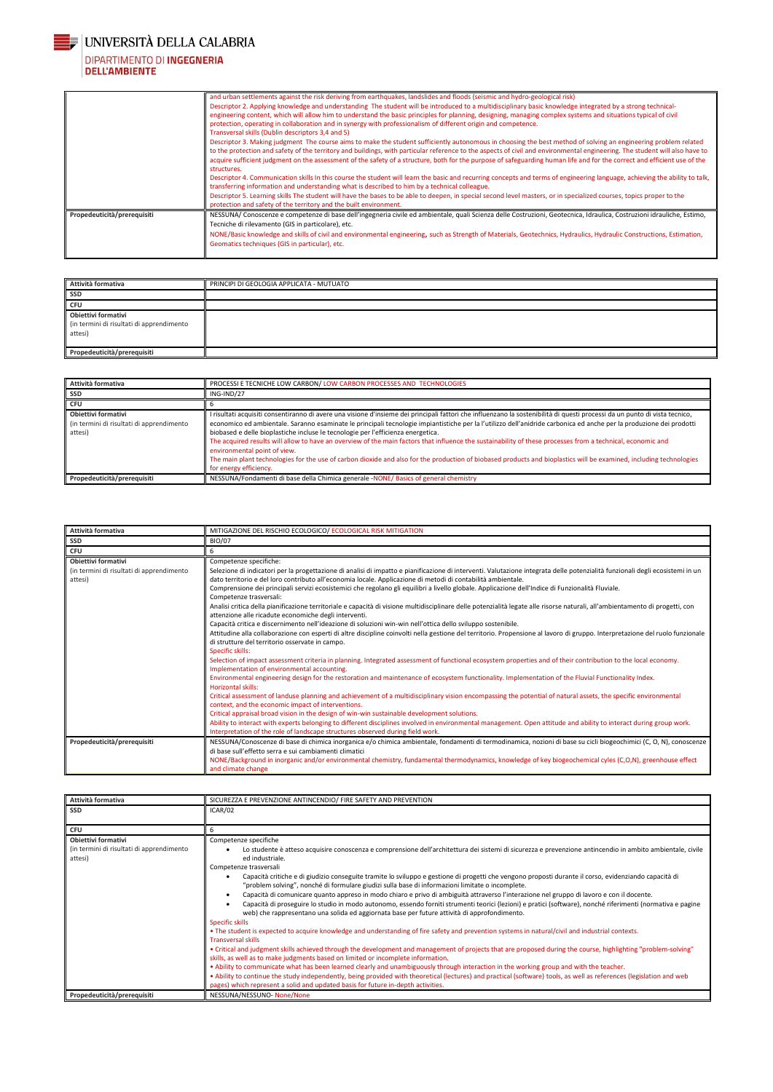

# DIPARTIMENTO DI INGEGNERIA<br>DELL'AMBIENTE

|                             | and urban settlements against the risk deriving from earthquakes, landslides and floods (seismic and hydro-geological risk)                                                                                                                                                  |
|-----------------------------|------------------------------------------------------------------------------------------------------------------------------------------------------------------------------------------------------------------------------------------------------------------------------|
|                             | Descriptor 2. Applying knowledge and understanding The student will be introduced to a multidisciplinary basic knowledge integrated by a strong technical-                                                                                                                   |
|                             | engineering content, which will allow him to understand the basic principles for planning, designing, managing complex systems and situations typical of civil                                                                                                               |
|                             | protection, operating in collaboration and in synergy with professionalism of different origin and competence.                                                                                                                                                               |
|                             | Transversal skills (Dublin descriptors 3,4 and 5)                                                                                                                                                                                                                            |
|                             | Descriptor 3. Making judgment The course aims to make the student sufficiently autonomous in choosing the best method of solving an engineering problem related                                                                                                              |
|                             | to the protection and safety of the territory and buildings, with particular reference to the aspects of civil and environmental engineering. The student will also have to                                                                                                  |
|                             | acquire sufficient judgment on the assessment of the safety of a structure, both for the purpose of safeguarding human life and for the correct and efficient use of the                                                                                                     |
|                             | structures.                                                                                                                                                                                                                                                                  |
|                             | Descriptor 4. Communication skills In this course the student will learn the basic and recurring concepts and terms of engineering language, achieving the ability to talk,<br>transferring information and understanding what is described to him by a technical colleague. |
|                             | Descriptor 5. Learning skills The student will have the bases to be able to deepen, in special second level masters, or in specialized courses, topics proper to the                                                                                                         |
|                             | protection and safety of the territory and the built environment.                                                                                                                                                                                                            |
| Propedeuticità/prerequisiti | NESSUNA/Conoscenze e competenze di base dell'ingegneria civile ed ambientale, quali Scienza delle Costruzioni, Geotecnica, Idraulica, Costruzioni idrauliche, Estimo,<br>Tecniche di rilevamento (GIS in particolare), etc.                                                  |
|                             | NONE/Basic knowledge and skills of civil and environmental engineering, such as Strength of Materials, Geotechnics, Hydraulics, Hydraulic Constructions, Estimation,<br>Geomatics techniques (GIS in particular), etc.                                                       |
|                             |                                                                                                                                                                                                                                                                              |

| Attività formativa                                                          | PRINCIPI DI GEOLOGIA APPLICATA - MUTUATO |
|-----------------------------------------------------------------------------|------------------------------------------|
| SSD                                                                         |                                          |
| <b>CFU</b>                                                                  |                                          |
| Obiettivi formativi<br>(in termini di risultati di apprendimento<br>attesi) |                                          |
| Propedeuticità/prerequisiti                                                 |                                          |

| Attività formativa                                                          | PROCESSI E TECNICHE LOW CARBON/LOW CARBON PROCESSES AND TECHNOLOGIES                                                                                                                                                                                                                                                                                                                                                                                                                                                                                                                                                                                                                                                                                                                                                                    |
|-----------------------------------------------------------------------------|-----------------------------------------------------------------------------------------------------------------------------------------------------------------------------------------------------------------------------------------------------------------------------------------------------------------------------------------------------------------------------------------------------------------------------------------------------------------------------------------------------------------------------------------------------------------------------------------------------------------------------------------------------------------------------------------------------------------------------------------------------------------------------------------------------------------------------------------|
| <b>SSD</b>                                                                  | ING-IND/27                                                                                                                                                                                                                                                                                                                                                                                                                                                                                                                                                                                                                                                                                                                                                                                                                              |
| <b>CFU</b>                                                                  |                                                                                                                                                                                                                                                                                                                                                                                                                                                                                                                                                                                                                                                                                                                                                                                                                                         |
| Obiettivi formativi<br>(in termini di risultati di apprendimento<br>attesi) | I risultati acquisiti consentiranno di avere una visione d'insieme dei principali fattori che influenzano la sostenibilità di questi processi da un punto di vista tecnico,<br>economico ed ambientale. Saranno esaminate le principali tecnologie impiantistiche per la l'utilizzo dell'anidride carbonica ed anche per la produzione dei prodotti<br>biobased e delle bioplastiche incluse le tecnologie per l'efficienza energetica.<br>The acquired results will allow to have an overview of the main factors that influence the sustainability of these processes from a technical, economic and<br>environmental point of view.<br>The main plant technologies for the use of carbon dioxide and also for the production of biobased products and bioplastics will be examined, including technologies<br>for energy efficiency. |
| Propedeuticità/prerequisiti                                                 | NESSUNA/Fondamenti di base della Chimica generale -NONE/ Basics of general chemistry                                                                                                                                                                                                                                                                                                                                                                                                                                                                                                                                                                                                                                                                                                                                                    |

| Attività formativa                                                      | MITIGAZIONE DEL RISCHIO ECOLOGICO/ ECOLOGICAL RISK MITIGATION                                                                                                                                                                                        |
|-------------------------------------------------------------------------|------------------------------------------------------------------------------------------------------------------------------------------------------------------------------------------------------------------------------------------------------|
| <b>SSD</b>                                                              | <b>BIO/07</b>                                                                                                                                                                                                                                        |
| <b>CFU</b>                                                              | 6                                                                                                                                                                                                                                                    |
| <b>Obiettivi formativi</b><br>(in termini di risultati di apprendimento | Competenze specifiche:<br>Selezione di indicatori per la progettazione di analisi di impatto e pianificazione di interventi. Valutazione integrata delle potenzialità funzionali degli ecosistemi in un                                              |
| attesi)                                                                 | dato territorio e del loro contributo all'economia locale. Applicazione di metodi di contabilità ambientale.                                                                                                                                         |
|                                                                         | Comprensione dei principali servizi ecosistemici che regolano gli equilibri a livello globale. Applicazione dell'Indice di Funzionalità Fluviale.<br>Competenze trasversali:                                                                         |
|                                                                         | Analisi critica della pianificazione territoriale e capacità di visione multidisciplinare delle potenzialità legate alle risorse naturali, all'ambientamento di progetti, con<br>attenzione alle ricadute economiche degli interventi.               |
|                                                                         | Capacità critica e discernimento nell'ideazione di soluzioni win-win nell'ottica dello sviluppo sostenibile.                                                                                                                                         |
|                                                                         | Attitudine alla collaborazione con esperti di altre discipline coinvolti nella gestione del territorio. Propensione al lavoro di gruppo. Interpretazione del ruolo funzionale<br>di strutture del territorio osservate in campo.                     |
|                                                                         | Specific skills:                                                                                                                                                                                                                                     |
|                                                                         | Selection of impact assessment criteria in planning. Integrated assessment of functional ecosystem properties and of their contribution to the local economy.<br>Implementation of environmental accounting.                                         |
|                                                                         | Environmental engineering design for the restoration and maintenance of ecosystem functionality. Implementation of the Fluvial Functionality Index.<br>Horizontal skills:                                                                            |
|                                                                         | Critical assessment of landuse planning and achievement of a multidisciplinary vision encompassing the potential of natural assets, the specific environmental<br>context, and the economic impact of interventions.                                 |
|                                                                         | Critical appraisal broad vision in the design of win-win sustainable development solutions.                                                                                                                                                          |
|                                                                         | Ability to interact with experts belonging to different disciplines involved in environmental management. Open attitude and ability to interact during group work.<br>Interpretation of the role of landscape structures observed during field work. |
| Propedeuticità/prerequisiti                                             | NESSUNA/Conoscenze di base di chimica inorganica e/o chimica ambientale, fondamenti di termodinamica, nozioni di base su cicli biogeochimici (C, O, N), conoscenze<br>di base sull'effetto serra e sui cambiamenti climatici                         |
|                                                                         | NONE/Background in inorganic and/or environmental chemistry, fundamental thermodynamics, knowledge of key biogeochemical cyles (C,O,N), greenhouse effect<br>and climate change                                                                      |

| Attività formativa | E PREVENZIONE ANTINCENDIO/ FIRE SAFETY AND PREVENTION |
|--------------------|-------------------------------------------------------|
| SSD                | ICAR/02                                               |

| <b>CFU</b>                                           |                                                                                                                                                                                                                                                             |
|------------------------------------------------------|-------------------------------------------------------------------------------------------------------------------------------------------------------------------------------------------------------------------------------------------------------------|
| Obiettivi formativi                                  | Competenze specifiche                                                                                                                                                                                                                                       |
| (in termini di risultati di apprendimento<br>attesi) | Lo studente è atteso acquisire conoscenza e comprensione dell'architettura dei sistemi di sicurezza e prevenzione antincendio in ambito ambientale, civile<br>ed industriale.                                                                               |
|                                                      | Competenze trasversali                                                                                                                                                                                                                                      |
|                                                      | Capacità critiche e di giudizio conseguite tramite lo sviluppo e gestione di progetti che vengono proposti durante il corso, evidenziando capacità di<br>"problem solving", nonché di formulare giudizi sulla base di informazioni limitate o incomplete.   |
|                                                      | Capacità di comunicare quanto appreso in modo chiaro e privo di ambiguità attraverso l'interazione nel gruppo di lavoro e con il docente.                                                                                                                   |
|                                                      | Capacità di proseguire lo studio in modo autonomo, essendo forniti strumenti teorici (lezioni) e pratici (software), nonché riferimenti (normativa e pagine<br>web) che rappresentano una solida ed aggiornata base per future attività di approfondimento. |
|                                                      | Specific skills                                                                                                                                                                                                                                             |
|                                                      | • The student is expected to acquire knowledge and understanding of fire safety and prevention systems in natural/civil and industrial contexts.<br><b>Transversal skills</b>                                                                               |
|                                                      | • Critical and judgment skills achieved through the development and management of projects that are proposed during the course, highlighting "problem-solving"<br>skills, as well as to make judgments based on limited or incomplete information.          |
|                                                      | . Ability to communicate what has been learned clearly and unambiguously through interaction in the working group and with the teacher.                                                                                                                     |
|                                                      | . Ability to continue the study independently, being provided with theoretical (lectures) and practical (software) tools, as well as references (legislation and web                                                                                        |
|                                                      | pages) which represent a solid and updated basis for future in-depth activities.                                                                                                                                                                            |
| Propedeuticità/prerequisiti                          | NESSUNA/NESSUNO-None/None                                                                                                                                                                                                                                   |